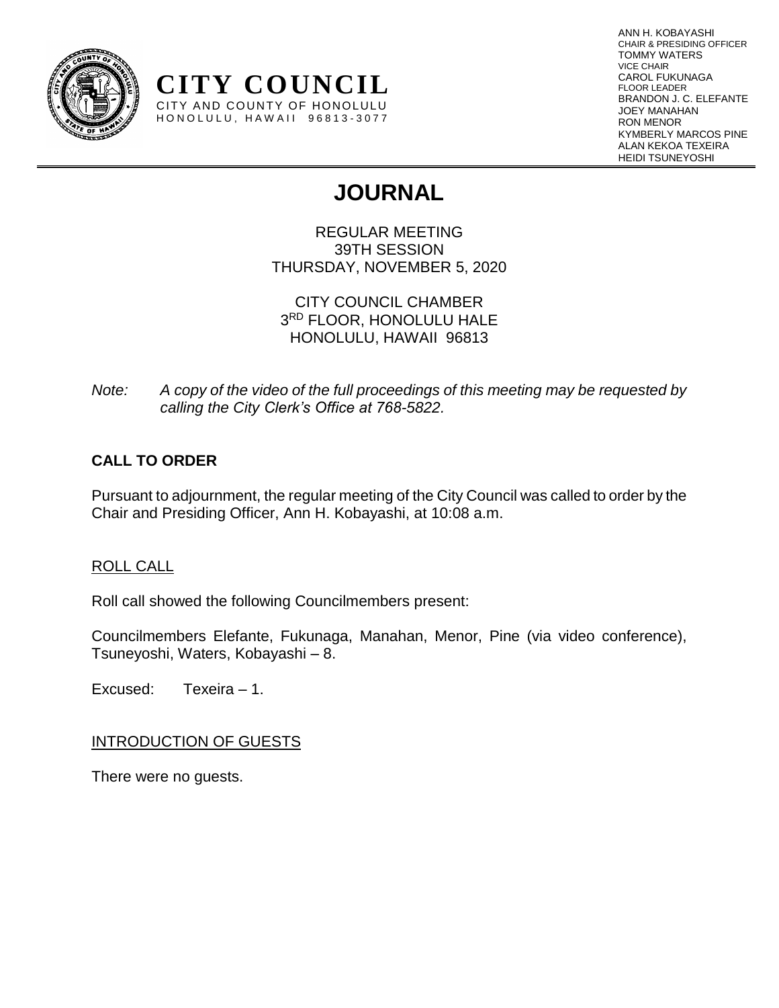

ANN H. KOBAYASHI CHAIR & PRESIDING OFFICER TOMMY WATERS VICE CHAIR CAROL FUKUNAGA FLOOR LEADER BRANDON J. C. ELEFANTE JOEY MANAHAN RON MENOR KYMBERLY MARCOS PINE ALAN KEKOA TEXEIRA HEIDI TSUNEYOSHI

# **JOURNAL**

REGULAR MEETING 39TH SESSION THURSDAY, NOVEMBER 5, 2020

CITY COUNCIL CHAMBER 3 RD FLOOR, HONOLULU HALE HONOLULU, HAWAII 96813

*Note: A copy of the video of the full proceedings of this meeting may be requested by calling the City Clerk's Office at 768-5822.*

# **CALL TO ORDER**

Pursuant to adjournment, the regular meeting of the City Council was called to order by the Chair and Presiding Officer, Ann H. Kobayashi, at 10:08 a.m.

# ROLL CALL

Roll call showed the following Councilmembers present:

**CITY COUNCIL** CITY AND COUNTY OF HONOLULU HONOLULU, HAWAII 96813-3077

Councilmembers Elefante, Fukunaga, Manahan, Menor, Pine (via video conference), Tsuneyoshi, Waters, Kobayashi – 8.

Excused: Texeira – 1.

# INTRODUCTION OF GUESTS

There were no guests.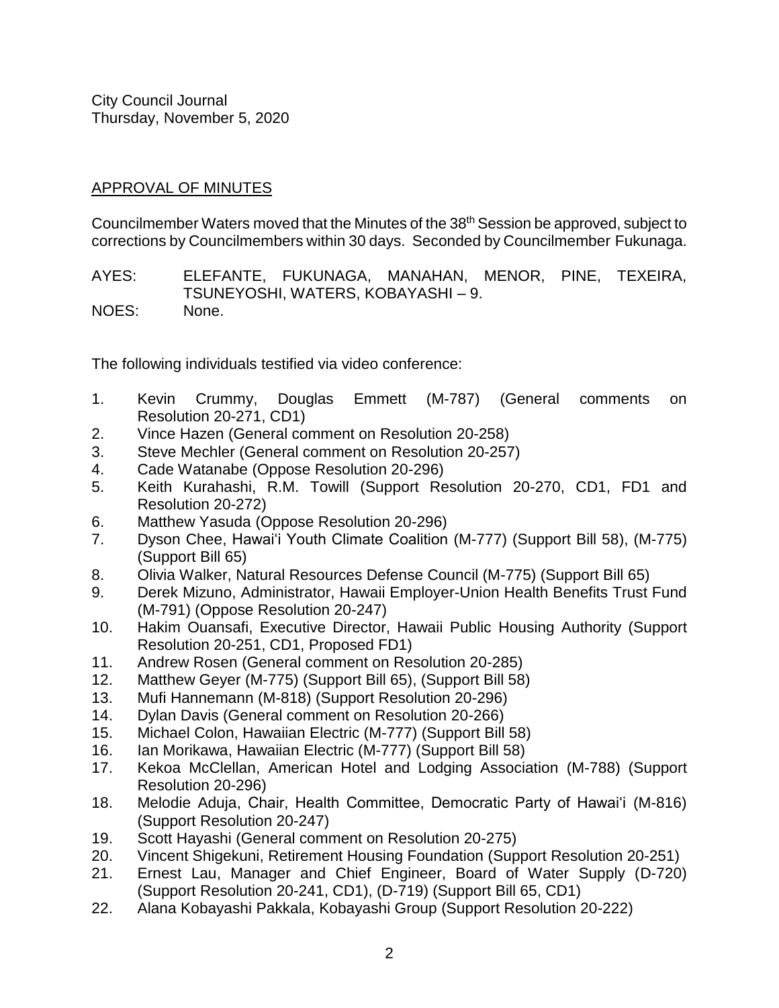# APPROVAL OF MINUTES

Councilmember Waters moved that the Minutes of the 38<sup>th</sup> Session be approved, subject to corrections by Councilmembers within 30 days. Seconded by Councilmember Fukunaga.

AYES: ELEFANTE, FUKUNAGA, MANAHAN, MENOR, PINE, TEXEIRA, TSUNEYOSHI, WATERS, KOBAYASHI – 9. NOES: None.

The following individuals testified via video conference:

- 1. Kevin Crummy, Douglas Emmett (M-787) (General comments on Resolution 20-271, CD1)
- 2. Vince Hazen (General comment on Resolution 20-258)
- 3. Steve Mechler (General comment on Resolution 20-257)
- 4. Cade Watanabe (Oppose Resolution 20-296)
- 5. Keith Kurahashi, R.M. Towill (Support Resolution 20-270, CD1, FD1 and Resolution 20-272)
- 6. Matthew Yasuda (Oppose Resolution 20-296)
- 7. Dyson Chee, Hawai'i Youth Climate Coalition (M-777) (Support Bill 58), (M-775) (Support Bill 65)
- 8. Olivia Walker, Natural Resources Defense Council (M-775) (Support Bill 65)
- 9. Derek Mizuno, Administrator, Hawaii Employer-Union Health Benefits Trust Fund (M-791) (Oppose Resolution 20-247)
- 10. Hakim Ouansafi, Executive Director, Hawaii Public Housing Authority (Support Resolution 20-251, CD1, Proposed FD1)
- 11. Andrew Rosen (General comment on Resolution 20-285)
- 12. Matthew Geyer (M-775) (Support Bill 65), (Support Bill 58)
- 13. Mufi Hannemann (M-818) (Support Resolution 20-296)
- 14. Dylan Davis (General comment on Resolution 20-266)
- 15. Michael Colon, Hawaiian Electric (M-777) (Support Bill 58)
- 16. Ian Morikawa, Hawaiian Electric (M-777) (Support Bill 58)
- 17. Kekoa McClellan, American Hotel and Lodging Association (M-788) (Support Resolution 20-296)
- 18. Melodie Aduja, Chair, Health Committee, Democratic Party of Hawai'i (M-816) (Support Resolution 20-247)
- 19. Scott Hayashi (General comment on Resolution 20-275)
- 20. Vincent Shigekuni, Retirement Housing Foundation (Support Resolution 20-251)
- 21. Ernest Lau, Manager and Chief Engineer, Board of Water Supply (D-720) (Support Resolution 20-241, CD1), (D-719) (Support Bill 65, CD1)
- 22. Alana Kobayashi Pakkala, Kobayashi Group (Support Resolution 20-222)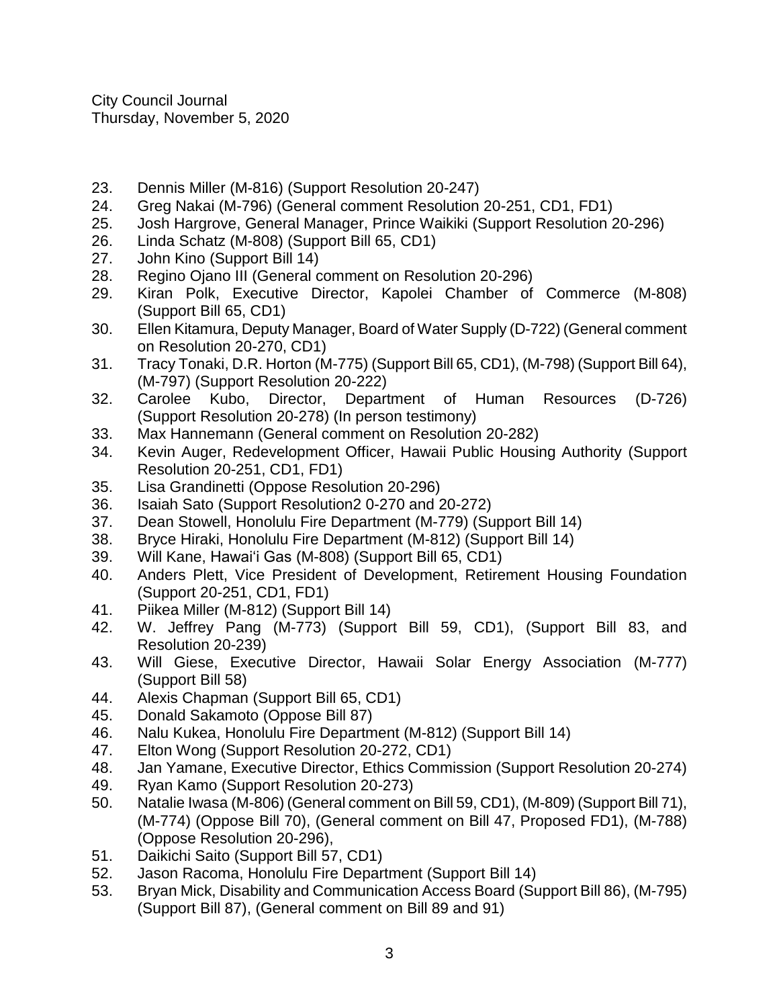- 23. Dennis Miller (M-816) (Support Resolution 20-247)
- 24. Greg Nakai (M-796) (General comment Resolution 20-251, CD1, FD1)
- 25. Josh Hargrove, General Manager, Prince Waikiki (Support Resolution 20-296)
- 26. Linda Schatz (M-808) (Support Bill 65, CD1)
- 27. John Kino (Support Bill 14)
- 28. Regino Ojano III (General comment on Resolution 20-296)
- 29. Kiran Polk, Executive Director, Kapolei Chamber of Commerce (M-808) (Support Bill 65, CD1)
- 30. Ellen Kitamura, Deputy Manager, Board of Water Supply (D-722) (General comment on Resolution 20-270, CD1)
- 31. Tracy Tonaki, D.R. Horton (M-775) (Support Bill 65, CD1), (M-798) (Support Bill 64), (M-797) (Support Resolution 20-222)
- 32. Carolee Kubo, Director, Department of Human Resources (D-726) (Support Resolution 20-278) (In person testimony)
- 33. Max Hannemann (General comment on Resolution 20-282)
- 34. Kevin Auger, Redevelopment Officer, Hawaii Public Housing Authority (Support Resolution 20-251, CD1, FD1)
- 35. Lisa Grandinetti (Oppose Resolution 20-296)
- 36. Isaiah Sato (Support Resolution2 0-270 and 20-272)
- 37. Dean Stowell, Honolulu Fire Department (M-779) (Support Bill 14)
- 38. Bryce Hiraki, Honolulu Fire Department (M-812) (Support Bill 14)
- 39. Will Kane, Hawai'i Gas (M-808) (Support Bill 65, CD1)
- 40. Anders Plett, Vice President of Development, Retirement Housing Foundation (Support 20-251, CD1, FD1)
- 41. Piikea Miller (M-812) (Support Bill 14)
- 42. W. Jeffrey Pang (M-773) (Support Bill 59, CD1), (Support Bill 83, and Resolution 20-239)
- 43. Will Giese, Executive Director, Hawaii Solar Energy Association (M-777) (Support Bill 58)
- 44. Alexis Chapman (Support Bill 65, CD1)
- 45. Donald Sakamoto (Oppose Bill 87)
- 46. Nalu Kukea, Honolulu Fire Department (M-812) (Support Bill 14)
- 47. Elton Wong (Support Resolution 20-272, CD1)
- 48. Jan Yamane, Executive Director, Ethics Commission (Support Resolution 20-274)
- 49. Ryan Kamo (Support Resolution 20-273)
- 50. Natalie Iwasa (M-806) (General comment on Bill 59, CD1), (M-809) (Support Bill 71), (M-774) (Oppose Bill 70), (General comment on Bill 47, Proposed FD1), (M-788) (Oppose Resolution 20-296),
- 51. Daikichi Saito (Support Bill 57, CD1)
- 52. Jason Racoma, Honolulu Fire Department (Support Bill 14)
- 53. Bryan Mick, Disability and Communication Access Board (Support Bill 86), (M-795) (Support Bill 87), (General comment on Bill 89 and 91)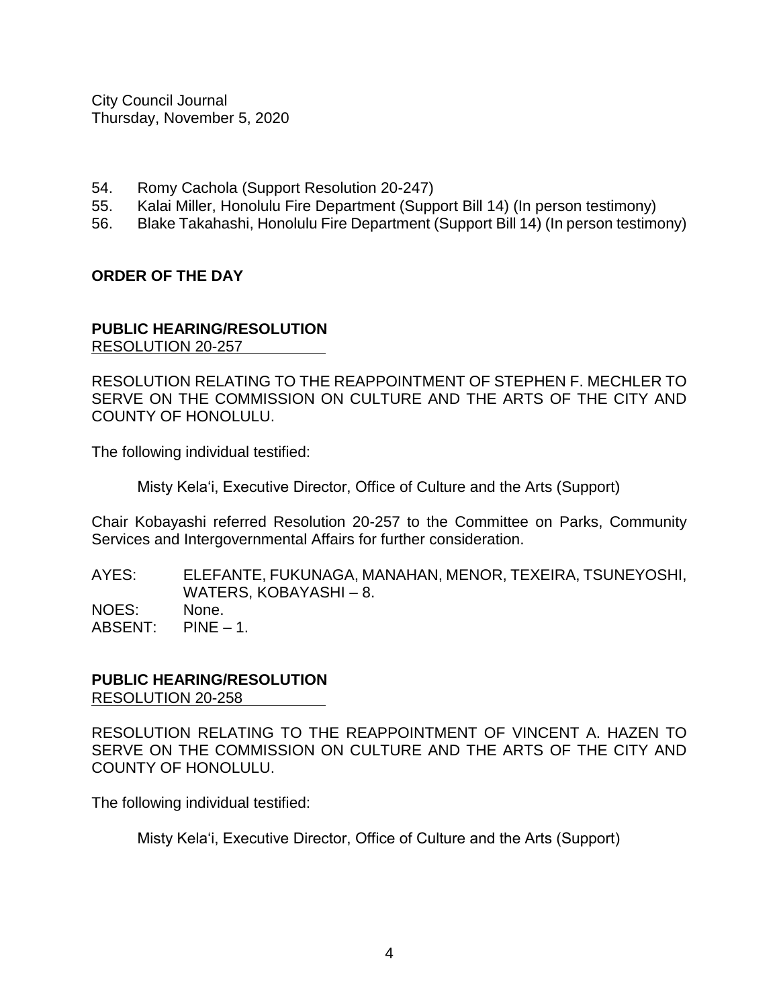- 54. Romy Cachola (Support Resolution 20-247)
- 55. Kalai Miller, Honolulu Fire Department (Support Bill 14) (In person testimony)
- 56. Blake Takahashi, Honolulu Fire Department (Support Bill 14) (In person testimony)

#### **ORDER OF THE DAY**

#### **PUBLIC HEARING/RESOLUTION** RESOLUTION 20-257

RESOLUTION RELATING TO THE REAPPOINTMENT OF STEPHEN F. MECHLER TO SERVE ON THE COMMISSION ON CULTURE AND THE ARTS OF THE CITY AND COUNTY OF HONOLULU.

The following individual testified:

Misty Kela'i, Executive Director, Office of Culture and the Arts (Support)

Chair Kobayashi referred Resolution 20-257 to the Committee on Parks, Community Services and Intergovernmental Affairs for further consideration.

AYES: ELEFANTE, FUKUNAGA, MANAHAN, MENOR, TEXEIRA, TSUNEYOSHI, WATERS, KOBAYASHI – 8. NOES: None. ABSENT: PINE – 1.

#### **PUBLIC HEARING/RESOLUTION** RESOLUTION 20-258

RESOLUTION RELATING TO THE REAPPOINTMENT OF VINCENT A. HAZEN TO SERVE ON THE COMMISSION ON CULTURE AND THE ARTS OF THE CITY AND COUNTY OF HONOLULU.

The following individual testified:

Misty Kela'i, Executive Director, Office of Culture and the Arts (Support)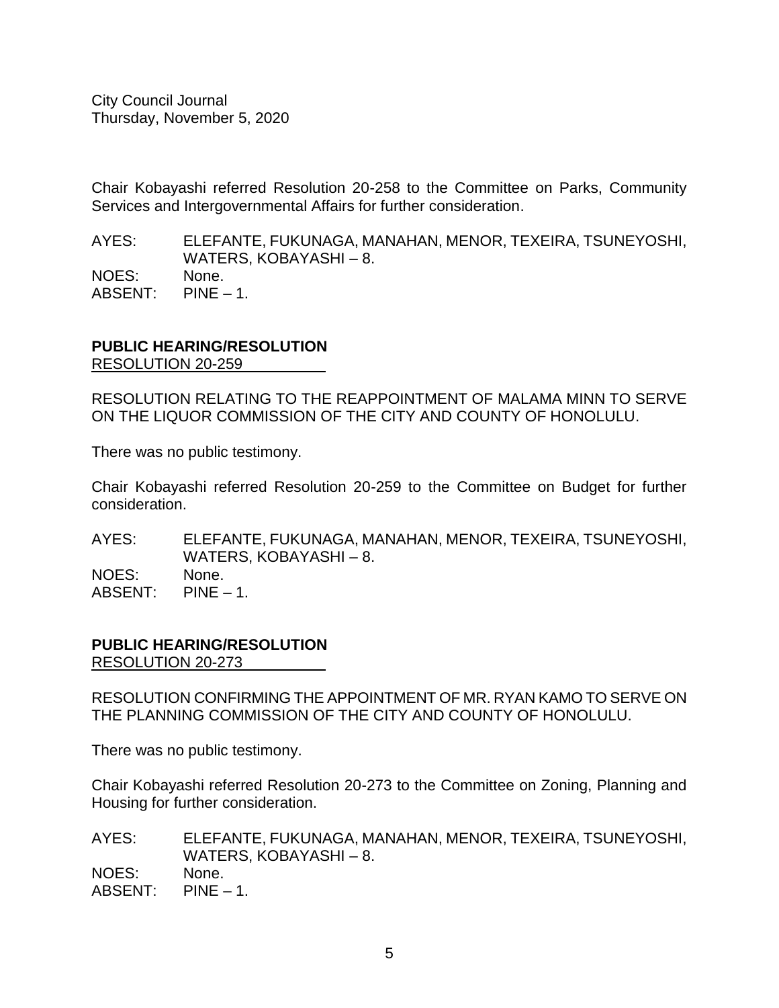Chair Kobayashi referred Resolution 20-258 to the Committee on Parks, Community Services and Intergovernmental Affairs for further consideration.

AYES: ELEFANTE, FUKUNAGA, MANAHAN, MENOR, TEXEIRA, TSUNEYOSHI, WATERS, KOBAYASHI – 8. NOES: None. ABSENT: PINE – 1.

#### **PUBLIC HEARING/RESOLUTION** RESOLUTION 20-259

RESOLUTION RELATING TO THE REAPPOINTMENT OF MALAMA MINN TO SERVE ON THE LIQUOR COMMISSION OF THE CITY AND COUNTY OF HONOLULU.

There was no public testimony.

Chair Kobayashi referred Resolution 20-259 to the Committee on Budget for further consideration.

AYES: ELEFANTE, FUKUNAGA, MANAHAN, MENOR, TEXEIRA, TSUNEYOSHI, WATERS, KOBAYASHI – 8. NOES: None. ABSENT: PINE – 1.

# **PUBLIC HEARING/RESOLUTION**

RESOLUTION 20-273

RESOLUTION CONFIRMING THE APPOINTMENT OF MR. RYAN KAMO TO SERVE ON THE PLANNING COMMISSION OF THE CITY AND COUNTY OF HONOLULU.

There was no public testimony.

Chair Kobayashi referred Resolution 20-273 to the Committee on Zoning, Planning and Housing for further consideration.

AYES: ELEFANTE, FUKUNAGA, MANAHAN, MENOR, TEXEIRA, TSUNEYOSHI, WATERS, KOBAYASHI – 8. NOES: None. ABSENT: PINE – 1.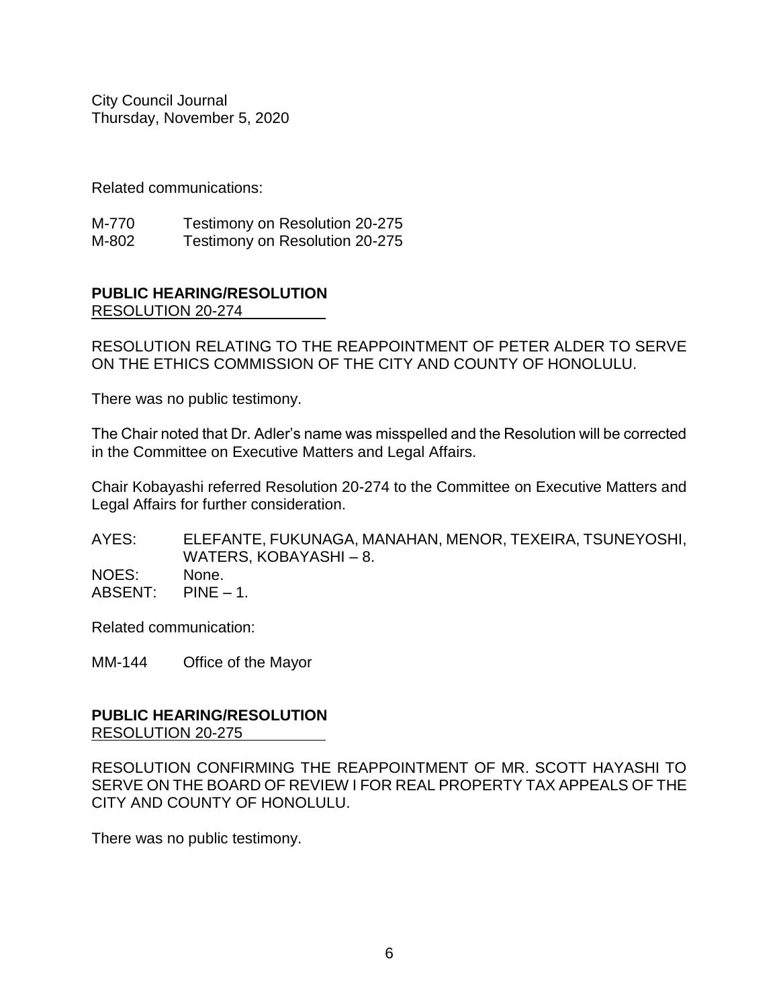Related communications:

M-770 Testimony on Resolution 20-275 M-802 Testimony on Resolution 20-275

#### **PUBLIC HEARING/RESOLUTION** RESOLUTION 20-274

RESOLUTION RELATING TO THE REAPPOINTMENT OF PETER ALDER TO SERVE ON THE ETHICS COMMISSION OF THE CITY AND COUNTY OF HONOLULU.

There was no public testimony.

The Chair noted that Dr. Adler's name was misspelled and the Resolution will be corrected in the Committee on Executive Matters and Legal Affairs.

Chair Kobayashi referred Resolution 20-274 to the Committee on Executive Matters and Legal Affairs for further consideration.

AYES: ELEFANTE, FUKUNAGA, MANAHAN, MENOR, TEXEIRA, TSUNEYOSHI, WATERS, KOBAYASHI – 8. NOES: None. ABSENT: PINE – 1.

Related communication:

MM-144 Office of the Mayor

# **PUBLIC HEARING/RESOLUTION** RESOLUTION 20-275

RESOLUTION CONFIRMING THE REAPPOINTMENT OF MR. SCOTT HAYASHI TO SERVE ON THE BOARD OF REVIEW I FOR REAL PROPERTY TAX APPEALS OF THE CITY AND COUNTY OF HONOLULU.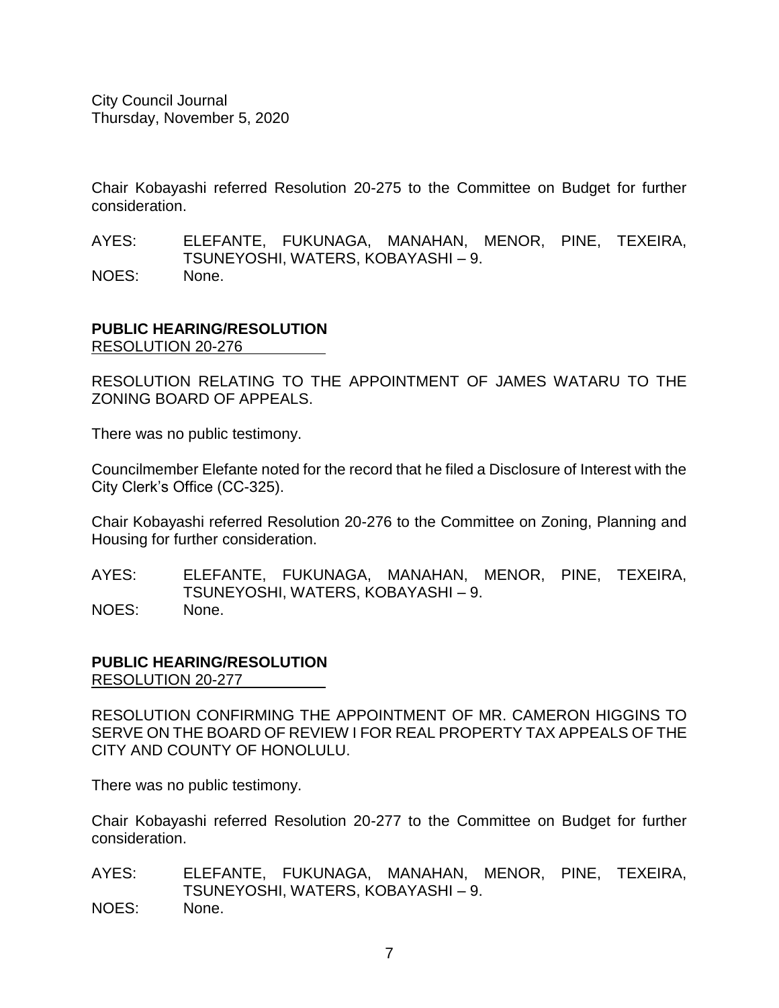Chair Kobayashi referred Resolution 20-275 to the Committee on Budget for further consideration.

AYES: ELEFANTE, FUKUNAGA, MANAHAN, MENOR, PINE, TEXEIRA, TSUNEYOSHI, WATERS, KOBAYASHI – 9. NOES: None.

# **PUBLIC HEARING/RESOLUTION** RESOLUTION 20-276

RESOLUTION RELATING TO THE APPOINTMENT OF JAMES WATARU TO THE ZONING BOARD OF APPEALS.

There was no public testimony.

Councilmember Elefante noted for the record that he filed a Disclosure of Interest with the City Clerk's Office (CC-325).

Chair Kobayashi referred Resolution 20-276 to the Committee on Zoning, Planning and Housing for further consideration.

AYES: ELEFANTE, FUKUNAGA, MANAHAN, MENOR, PINE, TEXEIRA, TSUNEYOSHI, WATERS, KOBAYASHI – 9. NOES: None.

# **PUBLIC HEARING/RESOLUTION** RESOLUTION 20-277

RESOLUTION CONFIRMING THE APPOINTMENT OF MR. CAMERON HIGGINS TO SERVE ON THE BOARD OF REVIEW I FOR REAL PROPERTY TAX APPEALS OF THE CITY AND COUNTY OF HONOLULU.

There was no public testimony.

Chair Kobayashi referred Resolution 20-277 to the Committee on Budget for further consideration.

AYES: ELEFANTE, FUKUNAGA, MANAHAN, MENOR, PINE, TEXEIRA, TSUNEYOSHI, WATERS, KOBAYASHI – 9. NOES: None.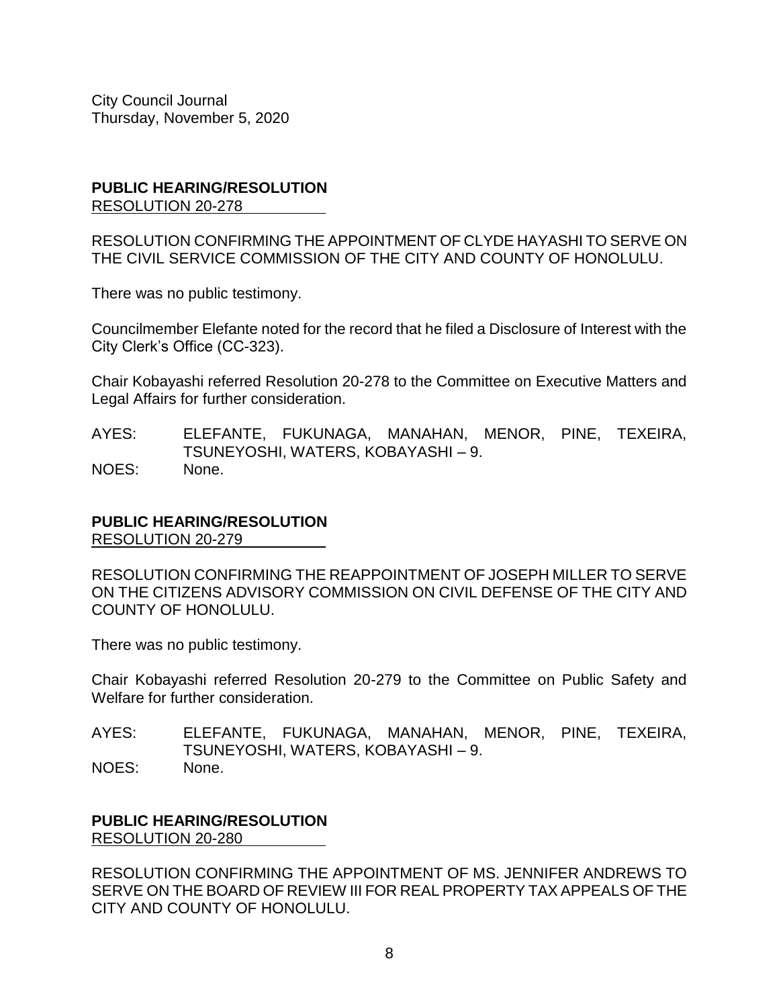#### **PUBLIC HEARING/RESOLUTION** RESOLUTION 20-278

RESOLUTION CONFIRMING THE APPOINTMENT OF CLYDE HAYASHI TO SERVE ON THE CIVIL SERVICE COMMISSION OF THE CITY AND COUNTY OF HONOLULU.

There was no public testimony.

Councilmember Elefante noted for the record that he filed a Disclosure of Interest with the City Clerk's Office (CC-323).

Chair Kobayashi referred Resolution 20-278 to the Committee on Executive Matters and Legal Affairs for further consideration.

AYES: ELEFANTE, FUKUNAGA, MANAHAN, MENOR, PINE, TEXEIRA, TSUNEYOSHI, WATERS, KOBAYASHI – 9. NOES: None.

# **PUBLIC HEARING/RESOLUTION**

RESOLUTION 20-279

RESOLUTION CONFIRMING THE REAPPOINTMENT OF JOSEPH MILLER TO SERVE ON THE CITIZENS ADVISORY COMMISSION ON CIVIL DEFENSE OF THE CITY AND COUNTY OF HONOLULU.

There was no public testimony.

Chair Kobayashi referred Resolution 20-279 to the Committee on Public Safety and Welfare for further consideration.

AYES: ELEFANTE, FUKUNAGA, MANAHAN, MENOR, PINE, TEXEIRA, TSUNEYOSHI, WATERS, KOBAYASHI – 9. NOES: None.

**PUBLIC HEARING/RESOLUTION** RESOLUTION 20-280

RESOLUTION CONFIRMING THE APPOINTMENT OF MS. JENNIFER ANDREWS TO SERVE ON THE BOARD OF REVIEW III FOR REAL PROPERTY TAX APPEALS OF THE CITY AND COUNTY OF HONOLULU.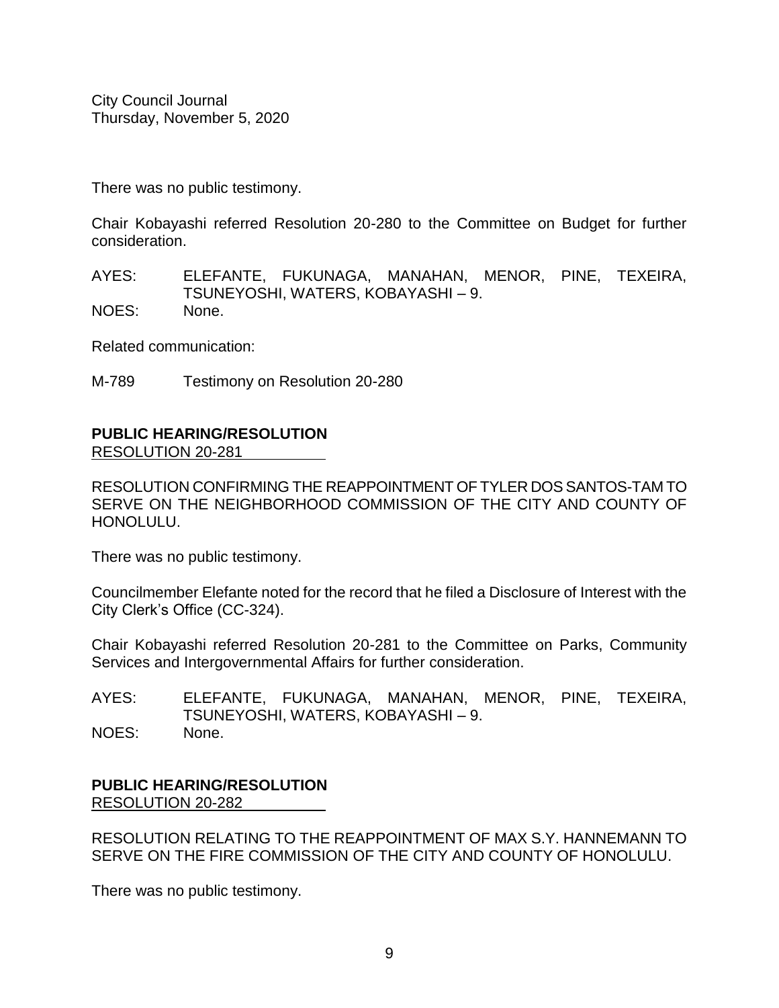There was no public testimony.

Chair Kobayashi referred Resolution 20-280 to the Committee on Budget for further consideration.

AYES: ELEFANTE, FUKUNAGA, MANAHAN, MENOR, PINE, TEXEIRA, TSUNEYOSHI, WATERS, KOBAYASHI – 9. NOES: None.

Related communication:

M-789 Testimony on Resolution 20-280

# **PUBLIC HEARING/RESOLUTION**

RESOLUTION 20-281

RESOLUTION CONFIRMING THE REAPPOINTMENT OF TYLER DOS SANTOS-TAM TO SERVE ON THE NEIGHBORHOOD COMMISSION OF THE CITY AND COUNTY OF HONOLULU.

There was no public testimony.

Councilmember Elefante noted for the record that he filed a Disclosure of Interest with the City Clerk's Office (CC-324).

Chair Kobayashi referred Resolution 20-281 to the Committee on Parks, Community Services and Intergovernmental Affairs for further consideration.

AYES: ELEFANTE, FUKUNAGA, MANAHAN, MENOR, PINE, TEXEIRA, TSUNEYOSHI, WATERS, KOBAYASHI – 9. NOES: None.

# **PUBLIC HEARING/RESOLUTION** RESOLUTION 20-282

RESOLUTION RELATING TO THE REAPPOINTMENT OF MAX S.Y. HANNEMANN TO SERVE ON THE FIRE COMMISSION OF THE CITY AND COUNTY OF HONOLULU.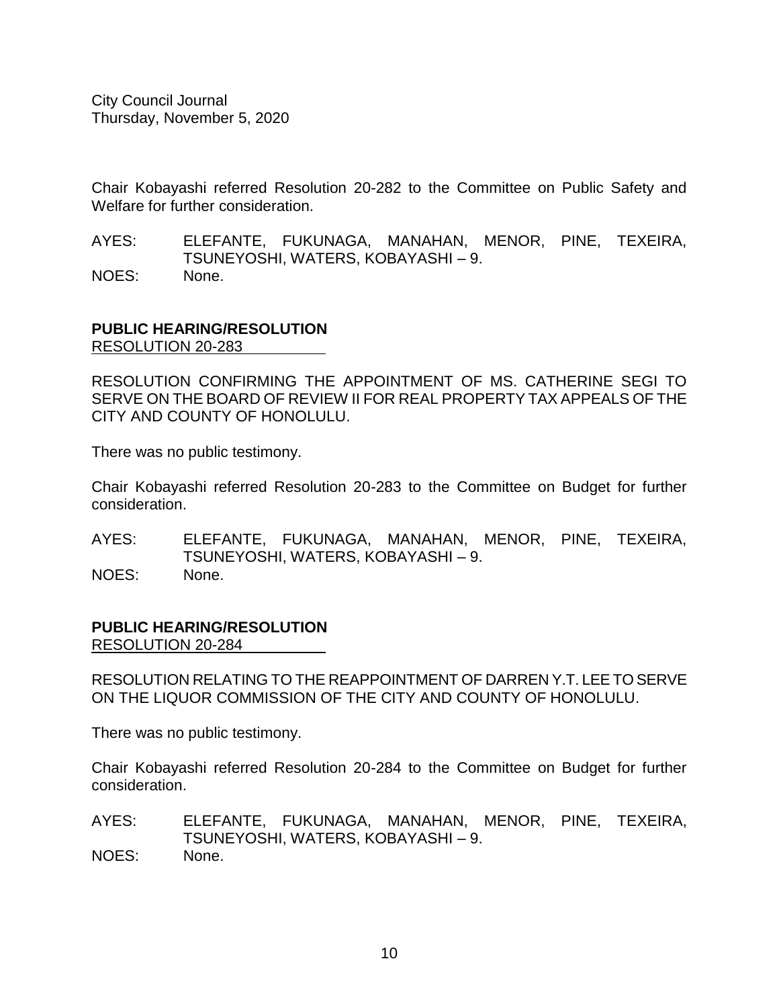Chair Kobayashi referred Resolution 20-282 to the Committee on Public Safety and Welfare for further consideration.

AYES: ELEFANTE, FUKUNAGA, MANAHAN, MENOR, PINE, TEXEIRA, TSUNEYOSHI, WATERS, KOBAYASHI – 9. NOES: None.

# **PUBLIC HEARING/RESOLUTION** RESOLUTION 20-283

RESOLUTION CONFIRMING THE APPOINTMENT OF MS. CATHERINE SEGI TO SERVE ON THE BOARD OF REVIEW II FOR REAL PROPERTY TAX APPEALS OF THE CITY AND COUNTY OF HONOLULU.

There was no public testimony.

Chair Kobayashi referred Resolution 20-283 to the Committee on Budget for further consideration.

AYES: ELEFANTE, FUKUNAGA, MANAHAN, MENOR, PINE, TEXEIRA, TSUNEYOSHI, WATERS, KOBAYASHI – 9. NOES: None.

#### **PUBLIC HEARING/RESOLUTION** RESOLUTION 20-284

RESOLUTION RELATING TO THE REAPPOINTMENT OF DARREN Y.T. LEE TO SERVE ON THE LIQUOR COMMISSION OF THE CITY AND COUNTY OF HONOLULU.

There was no public testimony.

Chair Kobayashi referred Resolution 20-284 to the Committee on Budget for further consideration.

AYES: ELEFANTE, FUKUNAGA, MANAHAN, MENOR, PINE, TEXEIRA, TSUNEYOSHI, WATERS, KOBAYASHI – 9. NOES: None.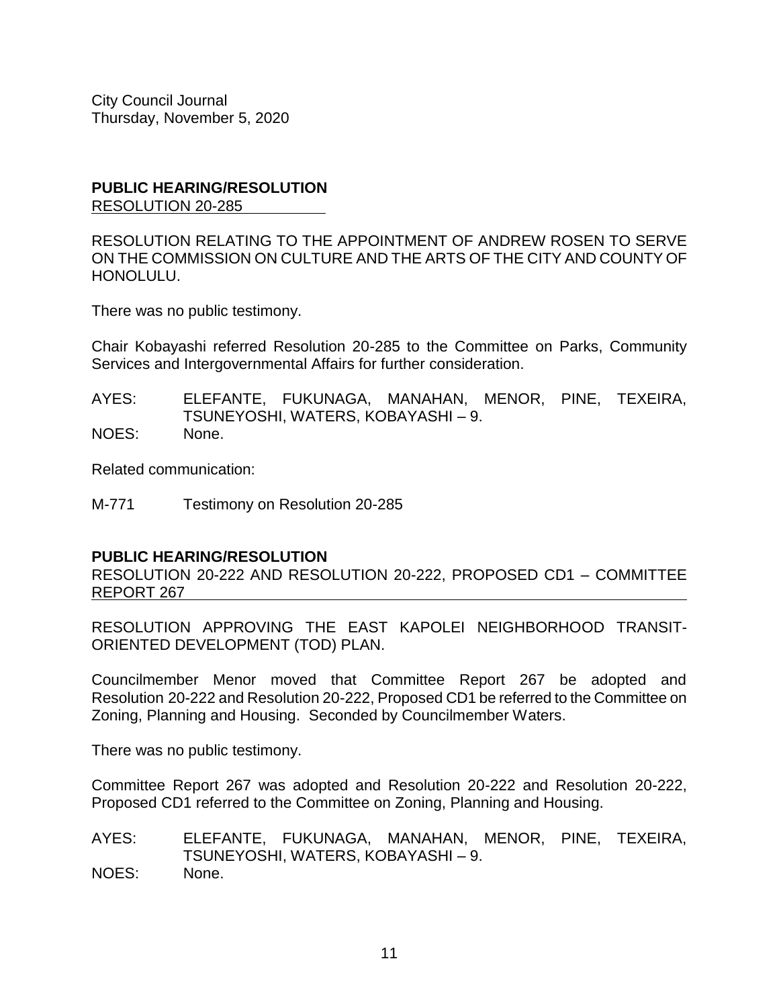#### **PUBLIC HEARING/RESOLUTION** RESOLUTION 20-285

RESOLUTION RELATING TO THE APPOINTMENT OF ANDREW ROSEN TO SERVE ON THE COMMISSION ON CULTURE AND THE ARTS OF THE CITY AND COUNTY OF HONOLULU.

There was no public testimony.

Chair Kobayashi referred Resolution 20-285 to the Committee on Parks, Community Services and Intergovernmental Affairs for further consideration.

AYES: ELEFANTE, FUKUNAGA, MANAHAN, MENOR, PINE, TEXEIRA, TSUNEYOSHI, WATERS, KOBAYASHI – 9. NOES: None.

Related communication:

M-771 Testimony on Resolution 20-285

#### **PUBLIC HEARING/RESOLUTION**

RESOLUTION 20-222 AND RESOLUTION 20-222, PROPOSED CD1 – COMMITTEE REPORT 267

RESOLUTION APPROVING THE EAST KAPOLEI NEIGHBORHOOD TRANSIT-ORIENTED DEVELOPMENT (TOD) PLAN.

Councilmember Menor moved that Committee Report 267 be adopted and Resolution 20-222 and Resolution 20-222, Proposed CD1 be referred to the Committee on Zoning, Planning and Housing. Seconded by Councilmember Waters.

There was no public testimony.

Committee Report 267 was adopted and Resolution 20-222 and Resolution 20-222, Proposed CD1 referred to the Committee on Zoning, Planning and Housing.

AYES: ELEFANTE, FUKUNAGA, MANAHAN, MENOR, PINE, TEXEIRA, TSUNEYOSHI, WATERS, KOBAYASHI – 9. NOES: None.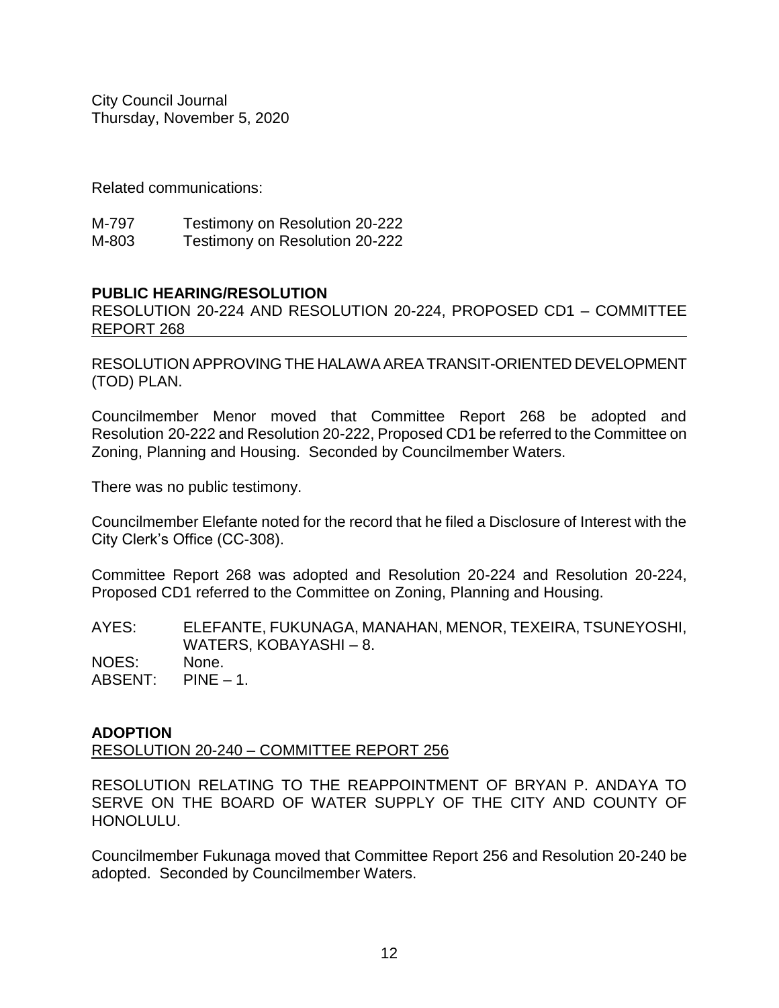Related communications:

| M-797 | Testimony on Resolution 20-222 |
|-------|--------------------------------|
| M-803 | Testimony on Resolution 20-222 |

#### **PUBLIC HEARING/RESOLUTION**

RESOLUTION 20-224 AND RESOLUTION 20-224, PROPOSED CD1 – COMMITTEE REPORT 268

RESOLUTION APPROVING THE HALAWA AREA TRANSIT-ORIENTED DEVELOPMENT (TOD) PLAN.

Councilmember Menor moved that Committee Report 268 be adopted and Resolution 20-222 and Resolution 20-222, Proposed CD1 be referred to the Committee on Zoning, Planning and Housing. Seconded by Councilmember Waters.

There was no public testimony.

Councilmember Elefante noted for the record that he filed a Disclosure of Interest with the City Clerk's Office (CC-308).

Committee Report 268 was adopted and Resolution 20-224 and Resolution 20-224, Proposed CD1 referred to the Committee on Zoning, Planning and Housing.

AYES: ELEFANTE, FUKUNAGA, MANAHAN, MENOR, TEXEIRA, TSUNEYOSHI, WATERS, KOBAYASHI – 8. NOES: None. ABSENT: PINE – 1.

#### **ADOPTION**

RESOLUTION 20-240 – COMMITTEE REPORT 256

RESOLUTION RELATING TO THE REAPPOINTMENT OF BRYAN P. ANDAYA TO SERVE ON THE BOARD OF WATER SUPPLY OF THE CITY AND COUNTY OF HONOLULU.

Councilmember Fukunaga moved that Committee Report 256 and Resolution 20-240 be adopted. Seconded by Councilmember Waters.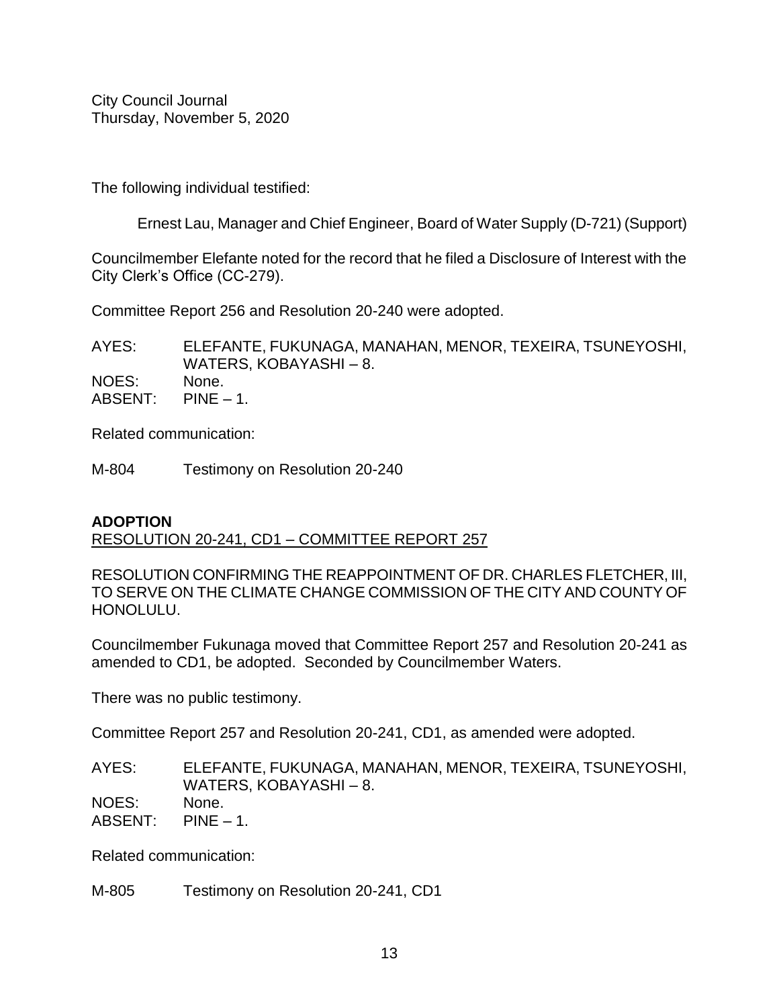The following individual testified:

Ernest Lau, Manager and Chief Engineer, Board of Water Supply (D-721) (Support)

Councilmember Elefante noted for the record that he filed a Disclosure of Interest with the City Clerk's Office (CC-279).

Committee Report 256 and Resolution 20-240 were adopted.

AYES: ELEFANTE, FUKUNAGA, MANAHAN, MENOR, TEXEIRA, TSUNEYOSHI, WATERS, KOBAYASHI – 8. NOES: None. ABSENT: PINE – 1.

Related communication:

M-804 Testimony on Resolution 20-240

# **ADOPTION**

RESOLUTION 20-241, CD1 – COMMITTEE REPORT 257

RESOLUTION CONFIRMING THE REAPPOINTMENT OF DR. CHARLES FLETCHER, III, TO SERVE ON THE CLIMATE CHANGE COMMISSION OF THE CITY AND COUNTY OF HONOLULU.

Councilmember Fukunaga moved that Committee Report 257 and Resolution 20-241 as amended to CD1, be adopted. Seconded by Councilmember Waters.

There was no public testimony.

Committee Report 257 and Resolution 20-241, CD1, as amended were adopted.

AYES: ELEFANTE, FUKUNAGA, MANAHAN, MENOR, TEXEIRA, TSUNEYOSHI, WATERS, KOBAYASHI – 8. NOES: None. ABSENT: PINE – 1.

Related communication:

M-805 Testimony on Resolution 20-241, CD1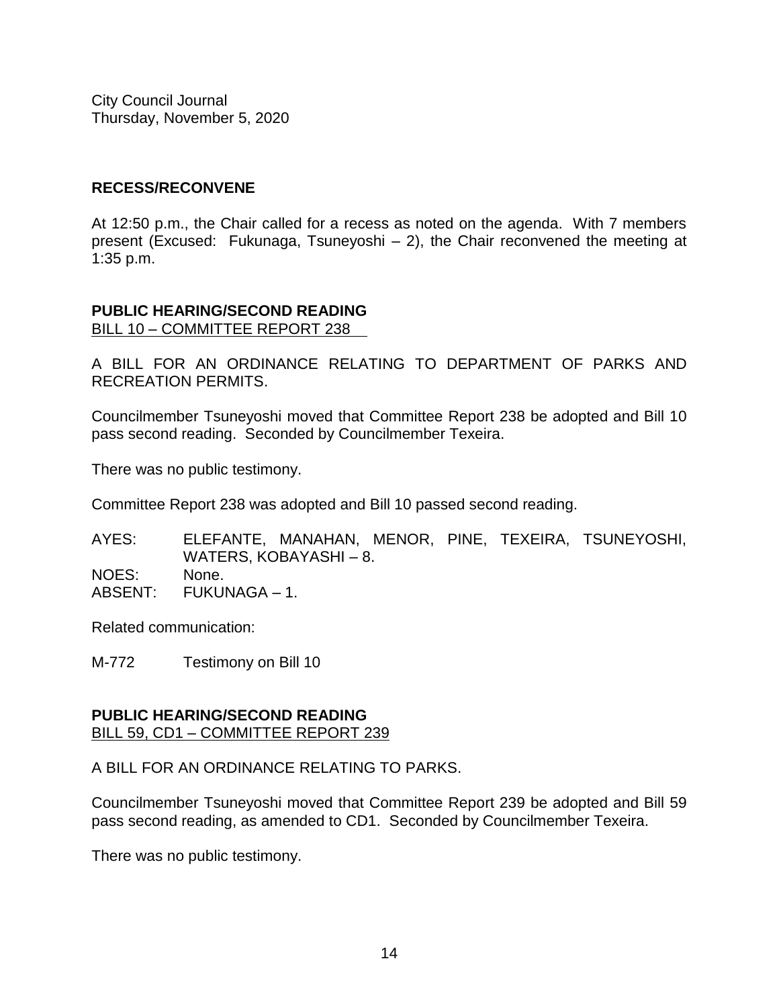# **RECESS/RECONVENE**

At 12:50 p.m., the Chair called for a recess as noted on the agenda. With 7 members present (Excused: Fukunaga, Tsuneyoshi – 2), the Chair reconvened the meeting at 1:35 p.m.

#### **PUBLIC HEARING/SECOND READING** BILL 10 – COMMITTEE REPORT 238

A BILL FOR AN ORDINANCE RELATING TO DEPARTMENT OF PARKS AND RECREATION PERMITS.

Councilmember Tsuneyoshi moved that Committee Report 238 be adopted and Bill 10 pass second reading. Seconded by Councilmember Texeira.

There was no public testimony.

Committee Report 238 was adopted and Bill 10 passed second reading.

AYES: ELEFANTE, MANAHAN, MENOR, PINE, TEXEIRA, TSUNEYOSHI, WATERS, KOBAYASHI – 8. NOES: None. ABSENT: FUKUNAGA – 1.

Related communication:

M-772 Testimony on Bill 10

#### **PUBLIC HEARING/SECOND READING** BILL 59, CD1 – COMMITTEE REPORT 239

A BILL FOR AN ORDINANCE RELATING TO PARKS.

Councilmember Tsuneyoshi moved that Committee Report 239 be adopted and Bill 59 pass second reading, as amended to CD1. Seconded by Councilmember Texeira.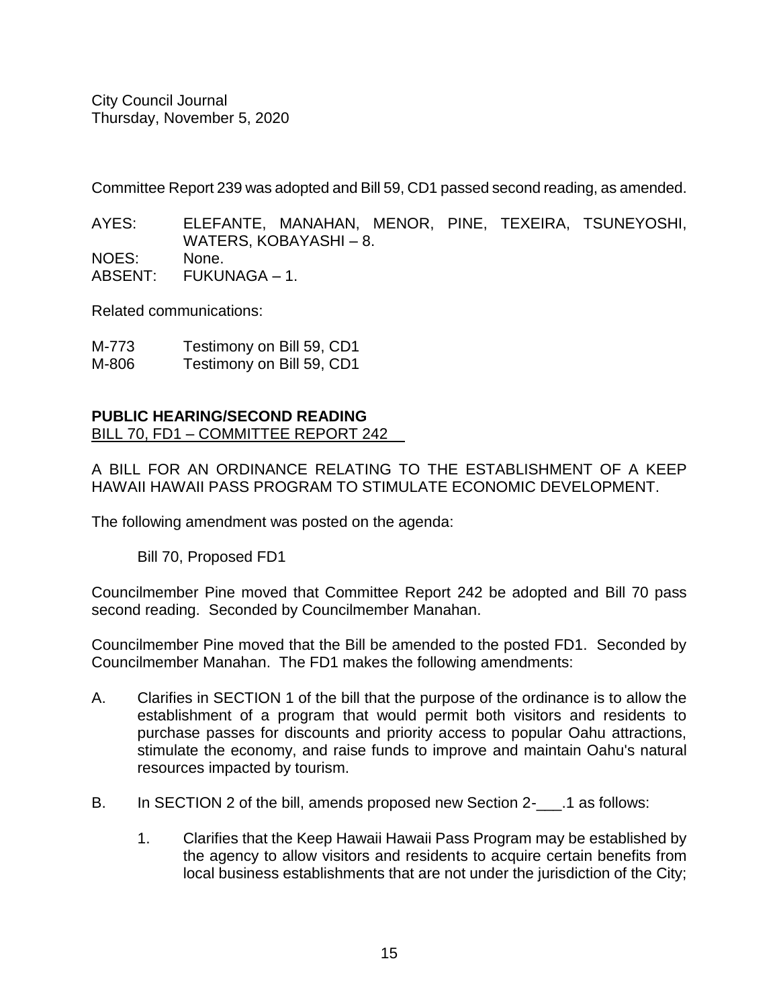Committee Report 239 was adopted and Bill 59, CD1 passed second reading, as amended.

AYES: ELEFANTE, MANAHAN, MENOR, PINE, TEXEIRA, TSUNEYOSHI, WATERS, KOBAYASHI – 8. NOES: None.

ABSENT: FUKUNAGA – 1.

Related communications:

| M-773 | Testimony on Bill 59, CD1 |
|-------|---------------------------|
| M-806 | Testimony on Bill 59, CD1 |

# **PUBLIC HEARING/SECOND READING**

BILL 70, FD1 – COMMITTEE REPORT 242

A BILL FOR AN ORDINANCE RELATING TO THE ESTABLISHMENT OF A KEEP HAWAII HAWAII PASS PROGRAM TO STIMULATE ECONOMIC DEVELOPMENT.

The following amendment was posted on the agenda:

Bill 70, Proposed FD1

Councilmember Pine moved that Committee Report 242 be adopted and Bill 70 pass second reading. Seconded by Councilmember Manahan.

Councilmember Pine moved that the Bill be amended to the posted FD1. Seconded by Councilmember Manahan. The FD1 makes the following amendments:

- A. Clarifies in SECTION 1 of the bill that the purpose of the ordinance is to allow the establishment of a program that would permit both visitors and residents to purchase passes for discounts and priority access to popular Oahu attractions, stimulate the economy, and raise funds to improve and maintain Oahu's natural resources impacted by tourism.
- B. In SECTION 2 of the bill, amends proposed new Section 2-\_\_\_\_.1 as follows:
	- 1. Clarifies that the Keep Hawaii Hawaii Pass Program may be established by the agency to allow visitors and residents to acquire certain benefits from local business establishments that are not under the jurisdiction of the City;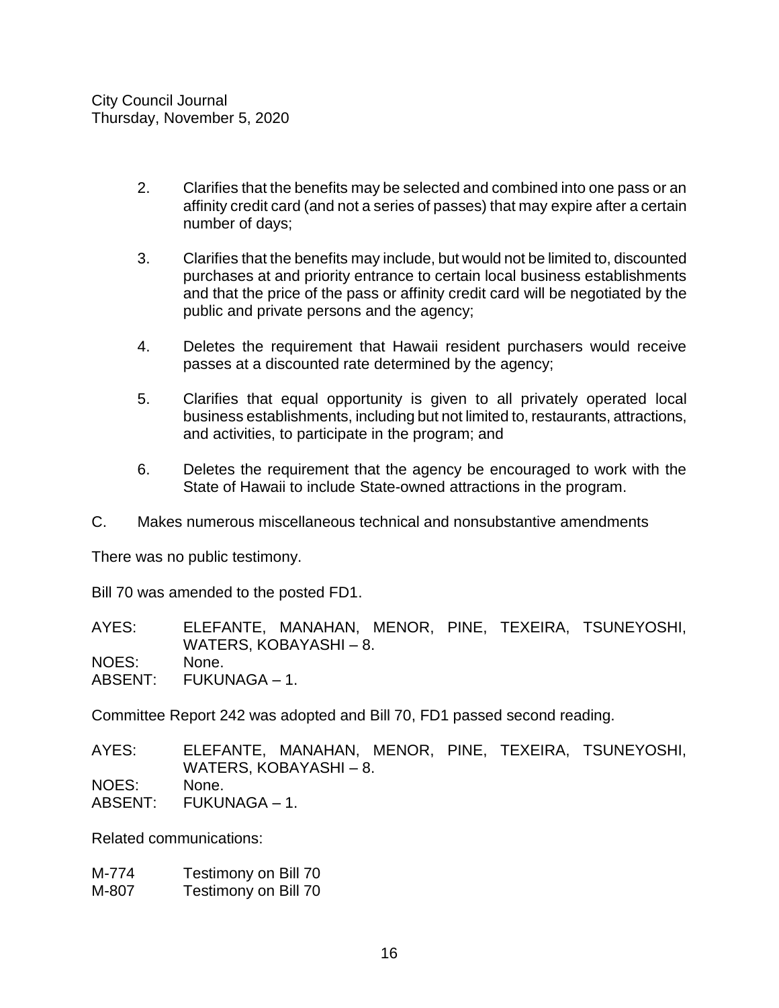- 2. Clarifies that the benefits may be selected and combined into one pass or an affinity credit card (and not a series of passes) that may expire after a certain number of days;
- 3. Clarifies that the benefits may include, but would not be limited to, discounted purchases at and priority entrance to certain local business establishments and that the price of the pass or affinity credit card will be negotiated by the public and private persons and the agency;
- 4. Deletes the requirement that Hawaii resident purchasers would receive passes at a discounted rate determined by the agency;
- 5. Clarifies that equal opportunity is given to all privately operated local business establishments, including but not limited to, restaurants, attractions, and activities, to participate in the program; and
- 6. Deletes the requirement that the agency be encouraged to work with the State of Hawaii to include State-owned attractions in the program.
- C. Makes numerous miscellaneous technical and nonsubstantive amendments

There was no public testimony.

Bill 70 was amended to the posted FD1.

AYES: ELEFANTE, MANAHAN, MENOR, PINE, TEXEIRA, TSUNEYOSHI, WATERS, KOBAYASHI – 8. NOES: None. ABSENT: FUKUNAGA – 1.

Committee Report 242 was adopted and Bill 70, FD1 passed second reading.

AYES: ELEFANTE, MANAHAN, MENOR, PINE, TEXEIRA, TSUNEYOSHI, WATERS, KOBAYASHI – 8. NOES: None. ABSENT: FUKUNAGA – 1.

Related communications:

M-774 Testimony on Bill 70 M-807 Testimony on Bill 70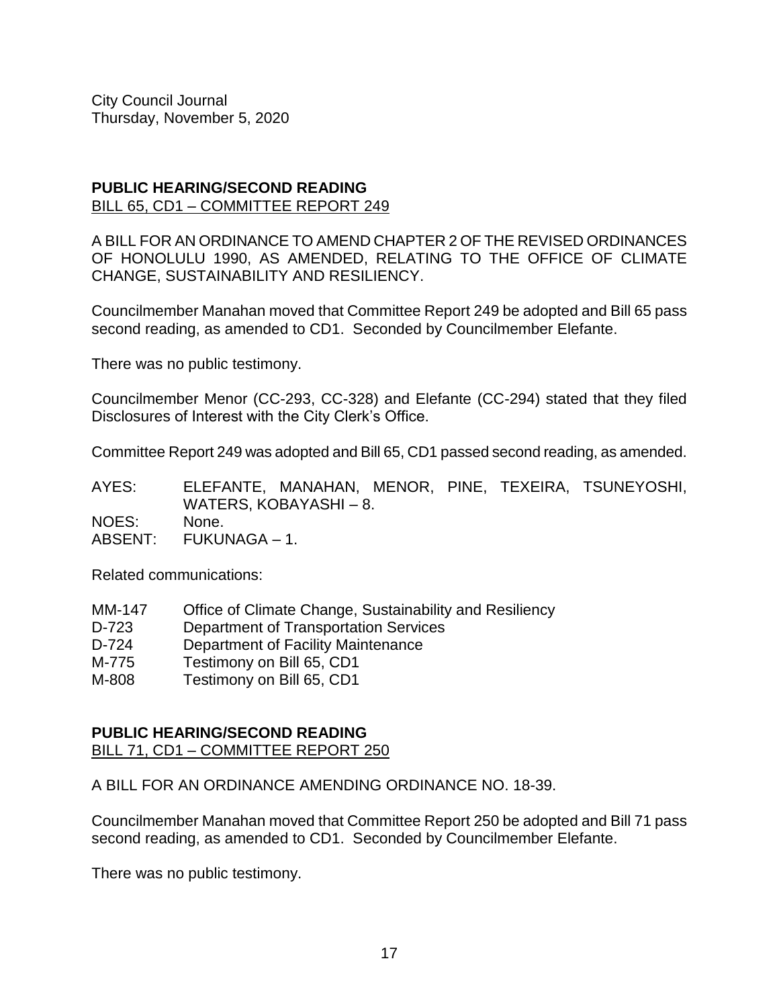#### **PUBLIC HEARING/SECOND READING** BILL 65, CD1 – COMMITTEE REPORT 249

A BILL FOR AN ORDINANCE TO AMEND CHAPTER 2 OF THE REVISED ORDINANCES OF HONOLULU 1990, AS AMENDED, RELATING TO THE OFFICE OF CLIMATE CHANGE, SUSTAINABILITY AND RESILIENCY.

Councilmember Manahan moved that Committee Report 249 be adopted and Bill 65 pass second reading, as amended to CD1. Seconded by Councilmember Elefante.

There was no public testimony.

Councilmember Menor (CC-293, CC-328) and Elefante (CC-294) stated that they filed Disclosures of Interest with the City Clerk's Office.

Committee Report 249 was adopted and Bill 65, CD1 passed second reading, as amended.

AYES: ELEFANTE, MANAHAN, MENOR, PINE, TEXEIRA, TSUNEYOSHI, WATERS, KOBAYASHI – 8. NOES: None. ABSENT: FUKUNAGA – 1.

Related communications:

- MM-147 Office of Climate Change, Sustainability and Resiliency
- D-723 Department of Transportation Services
- D-724 Department of Facility Maintenance
- M-775 Testimony on Bill 65, CD1
- M-808 Testimony on Bill 65, CD1

# **PUBLIC HEARING/SECOND READING**

BILL 71, CD1 – COMMITTEE REPORT 250

A BILL FOR AN ORDINANCE AMENDING ORDINANCE NO. 18-39.

Councilmember Manahan moved that Committee Report 250 be adopted and Bill 71 pass second reading, as amended to CD1. Seconded by Councilmember Elefante.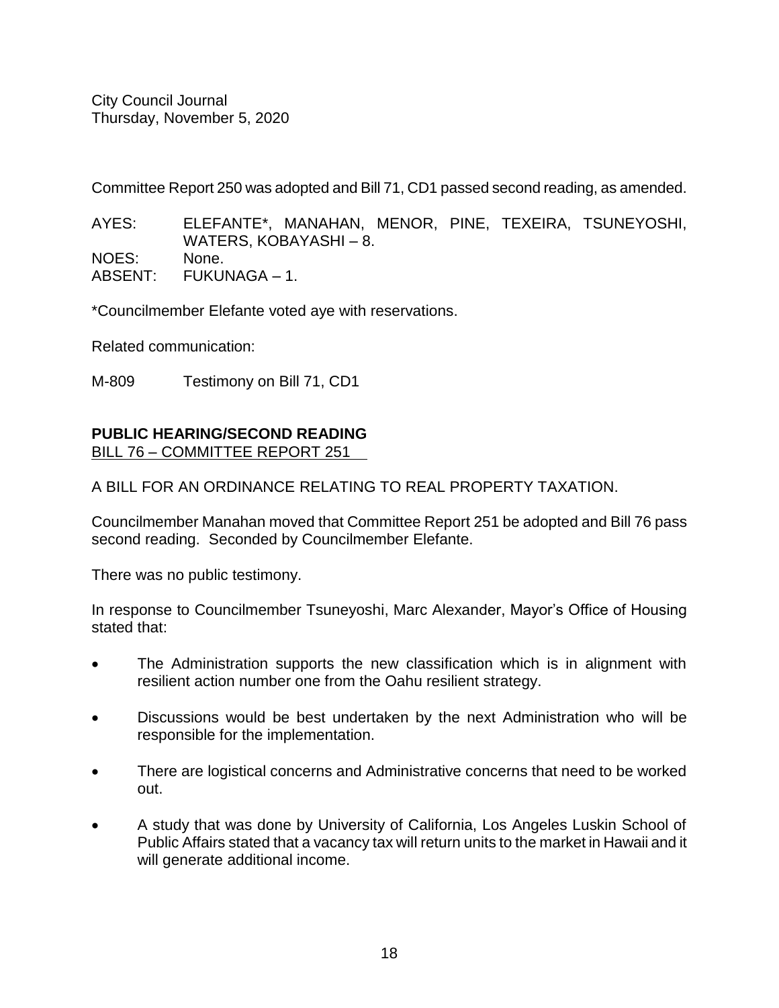Committee Report 250 was adopted and Bill 71, CD1 passed second reading, as amended.

AYES: ELEFANTE\*, MANAHAN, MENOR, PINE, TEXEIRA, TSUNEYOSHI, WATERS, KOBAYASHI – 8. NOES: None.

ABSENT: FUKUNAGA – 1.

\*Councilmember Elefante voted aye with reservations.

Related communication:

M-809 Testimony on Bill 71, CD1

#### **PUBLIC HEARING/SECOND READING** BILL 76 – COMMITTEE REPORT 251

A BILL FOR AN ORDINANCE RELATING TO REAL PROPERTY TAXATION.

Councilmember Manahan moved that Committee Report 251 be adopted and Bill 76 pass second reading. Seconded by Councilmember Elefante.

There was no public testimony.

In response to Councilmember Tsuneyoshi, Marc Alexander, Mayor's Office of Housing stated that:

- The Administration supports the new classification which is in alignment with resilient action number one from the Oahu resilient strategy.
- Discussions would be best undertaken by the next Administration who will be responsible for the implementation.
- There are logistical concerns and Administrative concerns that need to be worked out.
- A study that was done by University of California, Los Angeles Luskin School of Public Affairs stated that a vacancy tax will return units to the market in Hawaii and it will generate additional income.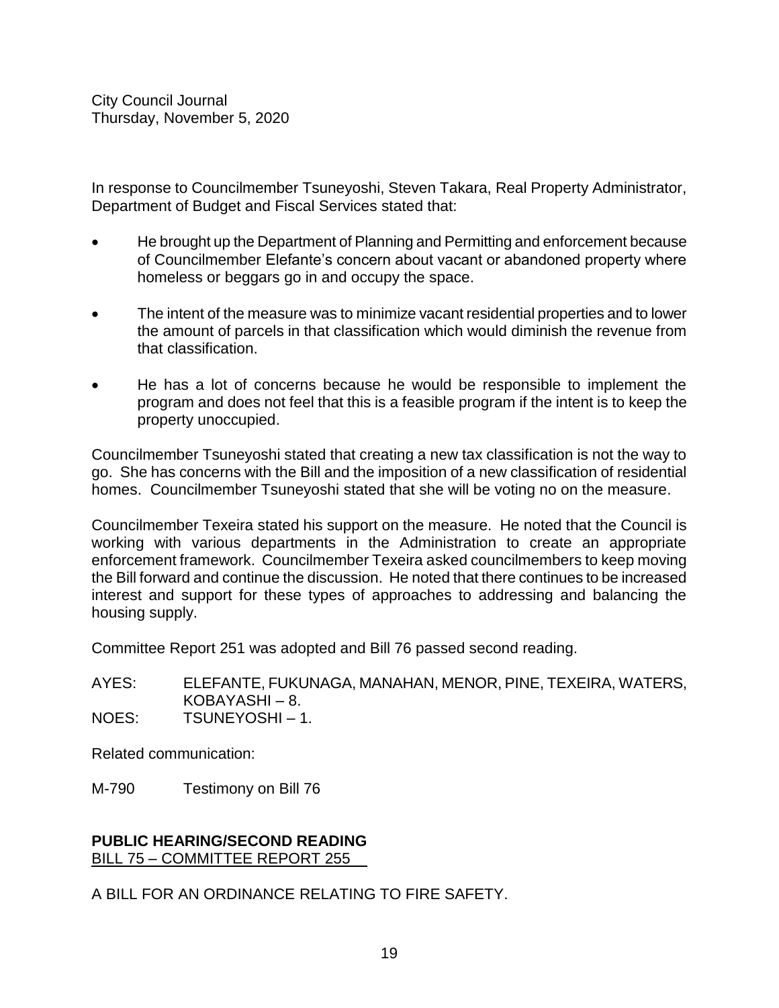In response to Councilmember Tsuneyoshi, Steven Takara, Real Property Administrator, Department of Budget and Fiscal Services stated that:

- He brought up the Department of Planning and Permitting and enforcement because of Councilmember Elefante's concern about vacant or abandoned property where homeless or beggars go in and occupy the space.
- The intent of the measure was to minimize vacant residential properties and to lower the amount of parcels in that classification which would diminish the revenue from that classification.
- He has a lot of concerns because he would be responsible to implement the program and does not feel that this is a feasible program if the intent is to keep the property unoccupied.

Councilmember Tsuneyoshi stated that creating a new tax classification is not the way to go. She has concerns with the Bill and the imposition of a new classification of residential homes. Councilmember Tsuneyoshi stated that she will be voting no on the measure.

Councilmember Texeira stated his support on the measure. He noted that the Council is working with various departments in the Administration to create an appropriate enforcement framework. Councilmember Texeira asked councilmembers to keep moving the Bill forward and continue the discussion. He noted that there continues to be increased interest and support for these types of approaches to addressing and balancing the housing supply.

Committee Report 251 was adopted and Bill 76 passed second reading.

AYES: ELEFANTE, FUKUNAGA, MANAHAN, MENOR, PINE, TEXEIRA, WATERS, KOBAYASHI – 8.

NOES: TSUNEYOSHI – 1.

Related communication:

M-790 Testimony on Bill 76

#### **PUBLIC HEARING/SECOND READING** BILL 75 – COMMITTEE REPORT 255

A BILL FOR AN ORDINANCE RELATING TO FIRE SAFETY.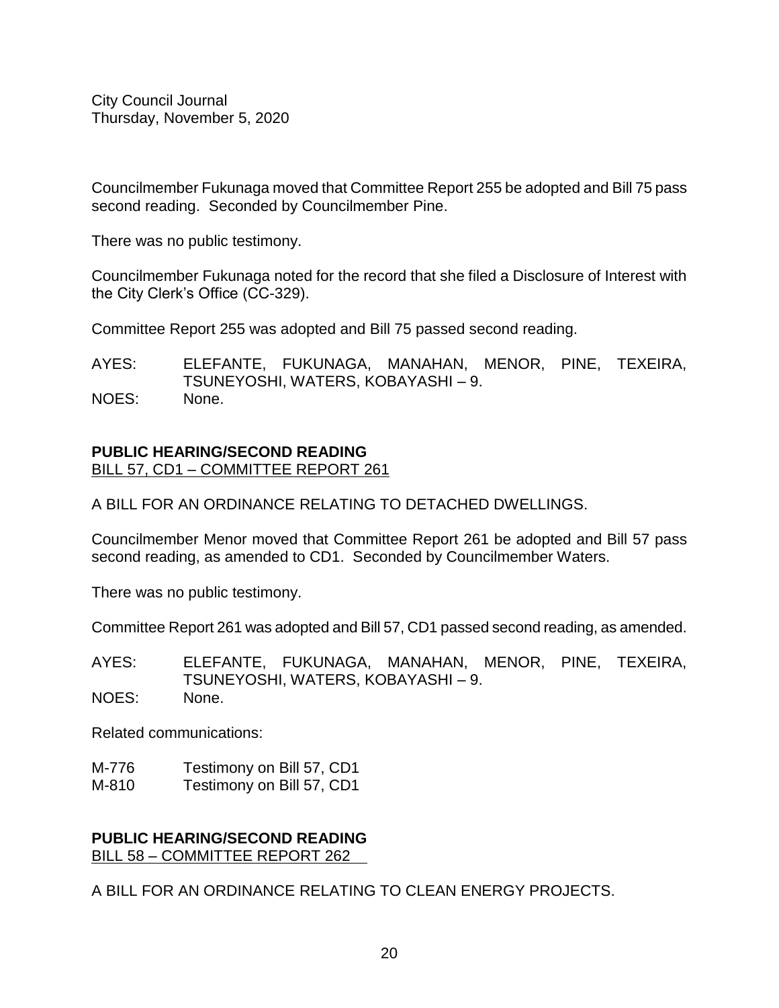Councilmember Fukunaga moved that Committee Report 255 be adopted and Bill 75 pass second reading. Seconded by Councilmember Pine.

There was no public testimony.

Councilmember Fukunaga noted for the record that she filed a Disclosure of Interest with the City Clerk's Office (CC-329).

Committee Report 255 was adopted and Bill 75 passed second reading.

AYES: ELEFANTE, FUKUNAGA, MANAHAN, MENOR, PINE, TEXEIRA, TSUNEYOSHI, WATERS, KOBAYASHI – 9. NOES: None.

# **PUBLIC HEARING/SECOND READING**

BILL 57, CD1 – COMMITTEE REPORT 261

A BILL FOR AN ORDINANCE RELATING TO DETACHED DWELLINGS.

Councilmember Menor moved that Committee Report 261 be adopted and Bill 57 pass second reading, as amended to CD1. Seconded by Councilmember Waters.

There was no public testimony.

Committee Report 261 was adopted and Bill 57, CD1 passed second reading, as amended.

AYES: ELEFANTE, FUKUNAGA, MANAHAN, MENOR, PINE, TEXEIRA, TSUNEYOSHI, WATERS, KOBAYASHI – 9. NOES: None.

Related communications:

- M-776 Testimony on Bill 57, CD1
- M-810 Testimony on Bill 57, CD1

#### **PUBLIC HEARING/SECOND READING** BILL 58 – COMMITTEE REPORT 262

A BILL FOR AN ORDINANCE RELATING TO CLEAN ENERGY PROJECTS.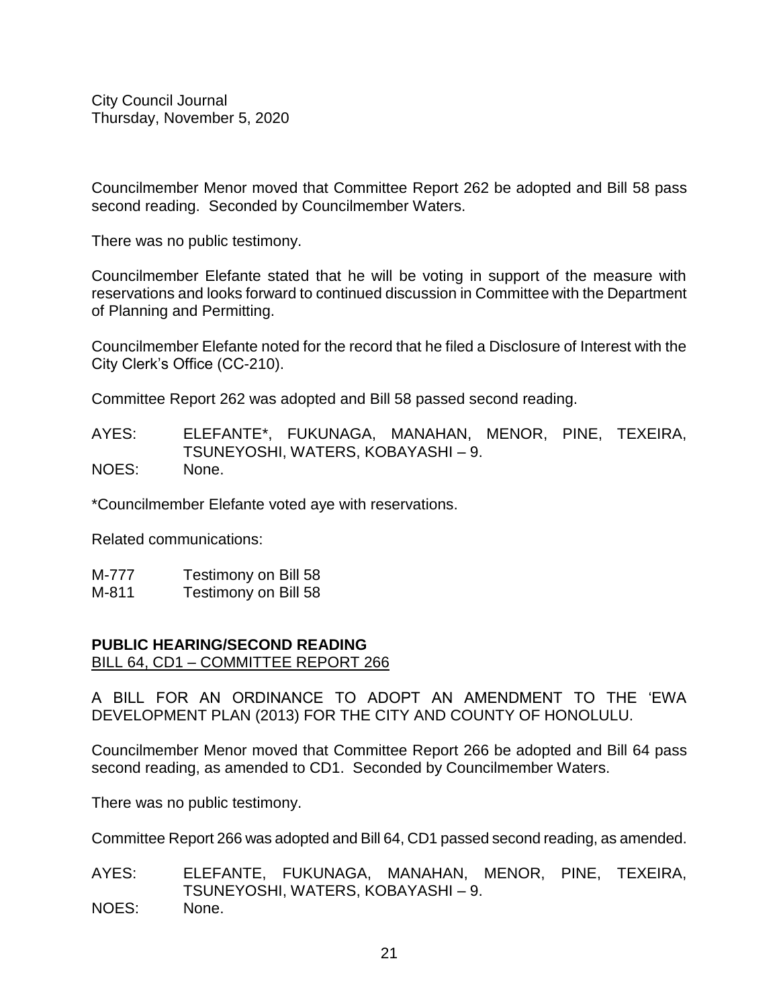Councilmember Menor moved that Committee Report 262 be adopted and Bill 58 pass second reading. Seconded by Councilmember Waters.

There was no public testimony.

Councilmember Elefante stated that he will be voting in support of the measure with reservations and looks forward to continued discussion in Committee with the Department of Planning and Permitting.

Councilmember Elefante noted for the record that he filed a Disclosure of Interest with the City Clerk's Office (CC-210).

Committee Report 262 was adopted and Bill 58 passed second reading.

AYES: ELEFANTE\*, FUKUNAGA, MANAHAN, MENOR, PINE, TEXEIRA, TSUNEYOSHI, WATERS, KOBAYASHI – 9. NOES: None.

\*Councilmember Elefante voted aye with reservations.

Related communications:

| M-777   | Testimony on Bill 58 |
|---------|----------------------|
| <b></b> |                      |

M-811 Testimony on Bill 58

#### **PUBLIC HEARING/SECOND READING**

BILL 64, CD1 – COMMITTEE REPORT 266

A BILL FOR AN ORDINANCE TO ADOPT AN AMENDMENT TO THE 'EWA DEVELOPMENT PLAN (2013) FOR THE CITY AND COUNTY OF HONOLULU.

Councilmember Menor moved that Committee Report 266 be adopted and Bill 64 pass second reading, as amended to CD1. Seconded by Councilmember Waters.

There was no public testimony.

Committee Report 266 was adopted and Bill 64, CD1 passed second reading, as amended.

AYES: ELEFANTE, FUKUNAGA, MANAHAN, MENOR, PINE, TEXEIRA, TSUNEYOSHI, WATERS, KOBAYASHI – 9. NOES: None.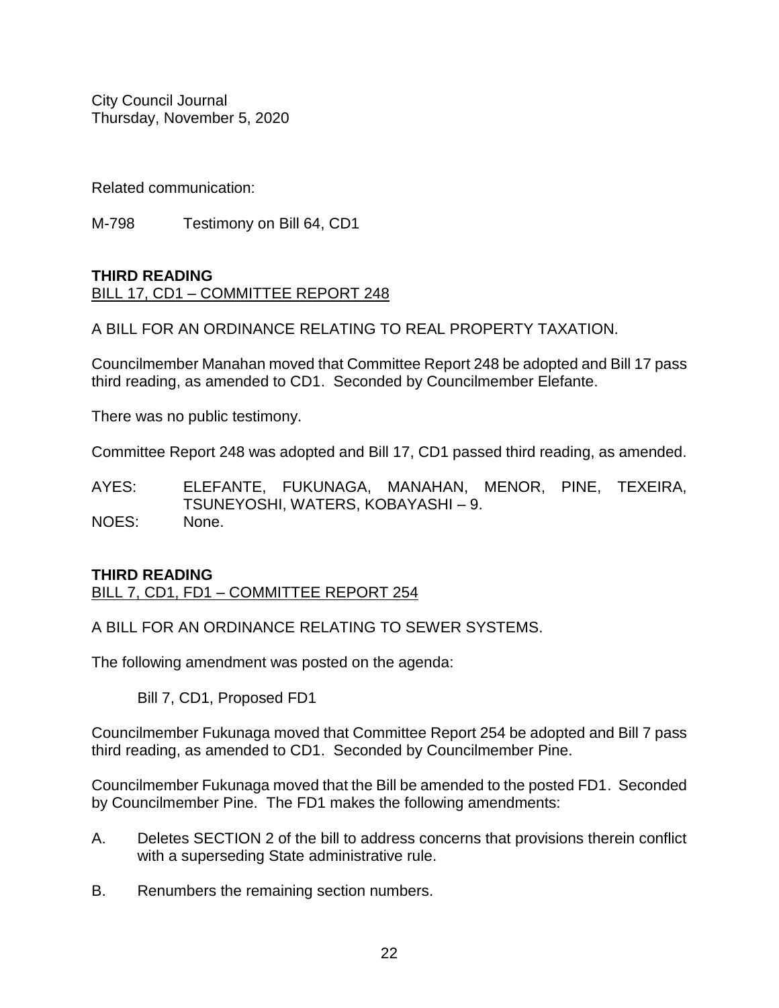Related communication:

M-798 Testimony on Bill 64, CD1

# **THIRD READING** BILL 17, CD1 – COMMITTEE REPORT 248

A BILL FOR AN ORDINANCE RELATING TO REAL PROPERTY TAXATION.

Councilmember Manahan moved that Committee Report 248 be adopted and Bill 17 pass third reading, as amended to CD1. Seconded by Councilmember Elefante.

There was no public testimony.

Committee Report 248 was adopted and Bill 17, CD1 passed third reading, as amended.

AYES: ELEFANTE, FUKUNAGA, MANAHAN, MENOR, PINE, TEXEIRA, TSUNEYOSHI, WATERS, KOBAYASHI – 9. NOES: None.

# **THIRD READING**

BILL 7, CD1, FD1 – COMMITTEE REPORT 254

A BILL FOR AN ORDINANCE RELATING TO SEWER SYSTEMS.

The following amendment was posted on the agenda:

Bill 7, CD1, Proposed FD1

Councilmember Fukunaga moved that Committee Report 254 be adopted and Bill 7 pass third reading, as amended to CD1. Seconded by Councilmember Pine.

Councilmember Fukunaga moved that the Bill be amended to the posted FD1. Seconded by Councilmember Pine. The FD1 makes the following amendments:

- A. Deletes SECTION 2 of the bill to address concerns that provisions therein conflict with a superseding State administrative rule.
- B. Renumbers the remaining section numbers.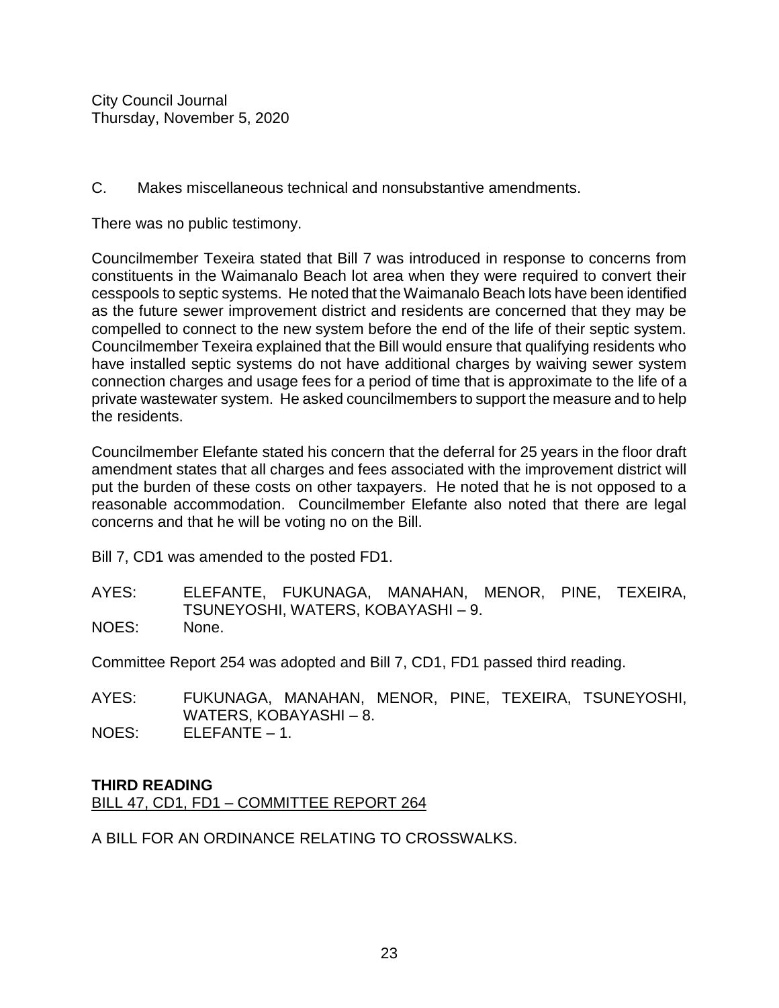C. Makes miscellaneous technical and nonsubstantive amendments.

There was no public testimony.

Councilmember Texeira stated that Bill 7 was introduced in response to concerns from constituents in the Waimanalo Beach lot area when they were required to convert their cesspools to septic systems. He noted that the Waimanalo Beach lots have been identified as the future sewer improvement district and residents are concerned that they may be compelled to connect to the new system before the end of the life of their septic system. Councilmember Texeira explained that the Bill would ensure that qualifying residents who have installed septic systems do not have additional charges by waiving sewer system connection charges and usage fees for a period of time that is approximate to the life of a private wastewater system. He asked councilmembers to support the measure and to help the residents.

Councilmember Elefante stated his concern that the deferral for 25 years in the floor draft amendment states that all charges and fees associated with the improvement district will put the burden of these costs on other taxpayers. He noted that he is not opposed to a reasonable accommodation. Councilmember Elefante also noted that there are legal concerns and that he will be voting no on the Bill.

Bill 7, CD1 was amended to the posted FD1.

AYES: ELEFANTE, FUKUNAGA, MANAHAN, MENOR, PINE, TEXEIRA, TSUNEYOSHI, WATERS, KOBAYASHI – 9. NOES: None.

Committee Report 254 was adopted and Bill 7, CD1, FD1 passed third reading.

AYES: FUKUNAGA, MANAHAN, MENOR, PINE, TEXEIRA, TSUNEYOSHI, WATERS, KOBAYASHI – 8. NOES: ELEFANTE – 1.

# **THIRD READING**

BILL 47, CD1, FD1 – COMMITTEE REPORT 264

A BILL FOR AN ORDINANCE RELATING TO CROSSWALKS.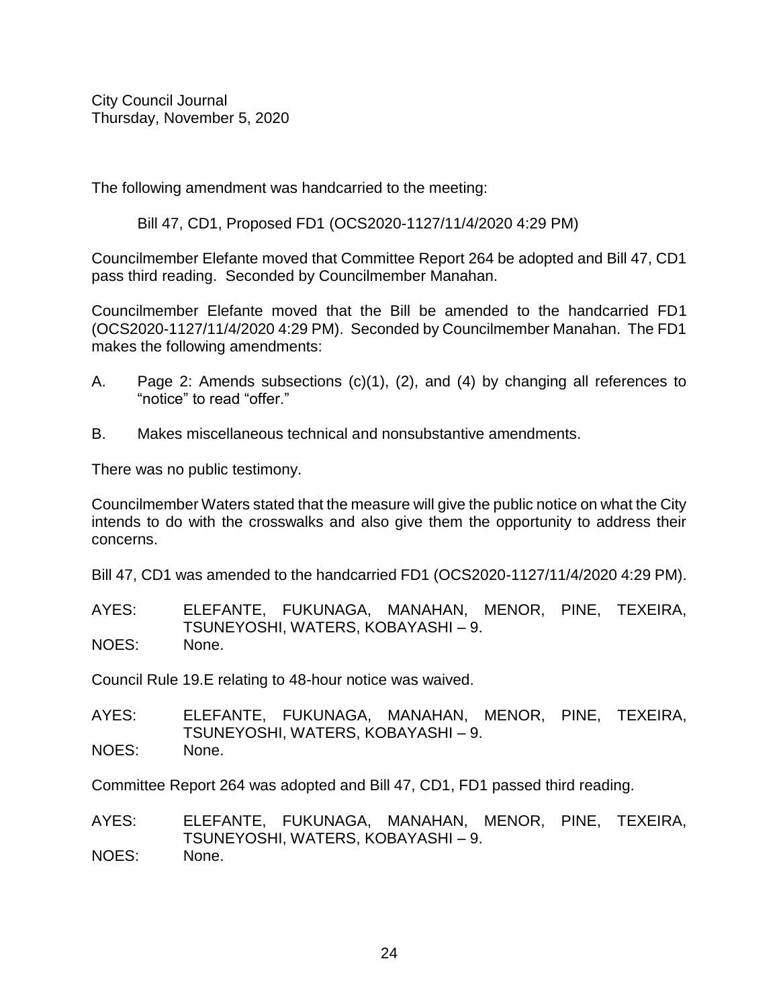The following amendment was handcarried to the meeting:

Bill 47, CD1, Proposed FD1 (OCS2020-1127/11/4/2020 4:29 PM)

Councilmember Elefante moved that Committee Report 264 be adopted and Bill 47, CD1 pass third reading. Seconded by Councilmember Manahan.

Councilmember Elefante moved that the Bill be amended to the handcarried FD1 (OCS2020-1127/11/4/2020 4:29 PM). Seconded by Councilmember Manahan. The FD1 makes the following amendments:

- A. Page 2: Amends subsections (c)(1), (2), and (4) by changing all references to "notice" to read "offer."
- B. Makes miscellaneous technical and nonsubstantive amendments.

There was no public testimony.

Councilmember Waters stated that the measure will give the public notice on what the City intends to do with the crosswalks and also give them the opportunity to address their concerns.

Bill 47, CD1 was amended to the handcarried FD1 (OCS2020-1127/11/4/2020 4:29 PM).

AYES: ELEFANTE, FUKUNAGA, MANAHAN, MENOR, PINE, TEXEIRA, TSUNEYOSHI, WATERS, KOBAYASHI – 9. NOES: None.

Council Rule 19.E relating to 48-hour notice was waived.

AYES: ELEFANTE, FUKUNAGA, MANAHAN, MENOR, PINE, TEXEIRA, TSUNEYOSHI, WATERS, KOBAYASHI – 9. NOES: None.

Committee Report 264 was adopted and Bill 47, CD1, FD1 passed third reading.

AYES: ELEFANTE, FUKUNAGA, MANAHAN, MENOR, PINE, TEXEIRA, TSUNEYOSHI, WATERS, KOBAYASHI – 9. NOES: None.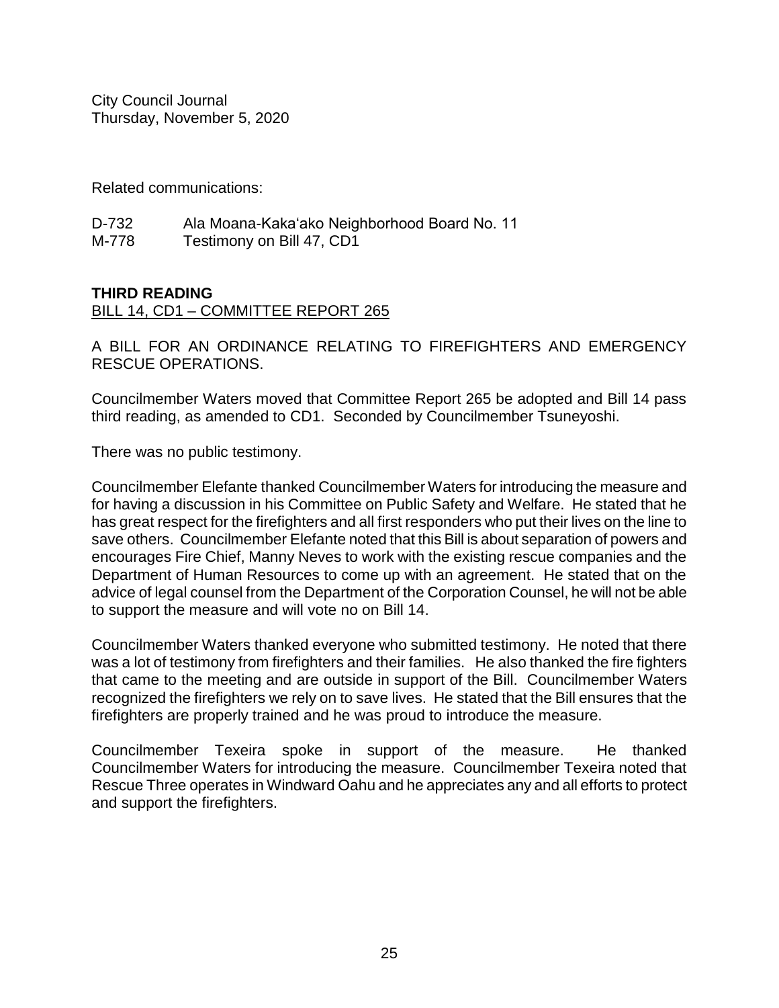Related communications:

| D-732 | Ala Moana-Kaka'ako Neighborhood Board No. 11 |
|-------|----------------------------------------------|
| M-778 | Testimony on Bill 47, CD1                    |

# **THIRD READING**

#### BILL 14, CD1 – COMMITTEE REPORT 265

A BILL FOR AN ORDINANCE RELATING TO FIREFIGHTERS AND EMERGENCY RESCUE OPERATIONS.

Councilmember Waters moved that Committee Report 265 be adopted and Bill 14 pass third reading, as amended to CD1. Seconded by Councilmember Tsuneyoshi.

There was no public testimony.

Councilmember Elefante thanked Councilmember Waters for introducing the measure and for having a discussion in his Committee on Public Safety and Welfare. He stated that he has great respect for the firefighters and all first responders who put their lives on the line to save others. Councilmember Elefante noted that this Bill is about separation of powers and encourages Fire Chief, Manny Neves to work with the existing rescue companies and the Department of Human Resources to come up with an agreement. He stated that on the advice of legal counsel from the Department of the Corporation Counsel, he will not be able to support the measure and will vote no on Bill 14.

Councilmember Waters thanked everyone who submitted testimony. He noted that there was a lot of testimony from firefighters and their families. He also thanked the fire fighters that came to the meeting and are outside in support of the Bill. Councilmember Waters recognized the firefighters we rely on to save lives. He stated that the Bill ensures that the firefighters are properly trained and he was proud to introduce the measure.

Councilmember Texeira spoke in support of the measure. He thanked Councilmember Waters for introducing the measure. Councilmember Texeira noted that Rescue Three operates in Windward Oahu and he appreciates any and all efforts to protect and support the firefighters.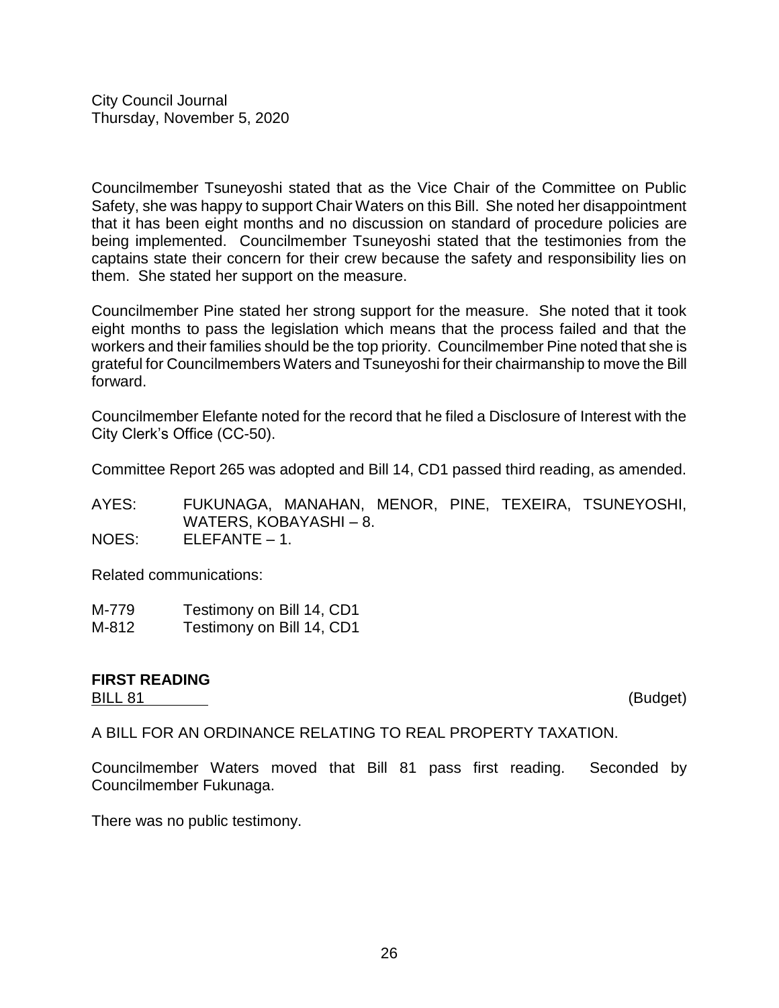Councilmember Tsuneyoshi stated that as the Vice Chair of the Committee on Public Safety, she was happy to support Chair Waters on this Bill. She noted her disappointment that it has been eight months and no discussion on standard of procedure policies are being implemented. Councilmember Tsuneyoshi stated that the testimonies from the captains state their concern for their crew because the safety and responsibility lies on them. She stated her support on the measure.

Councilmember Pine stated her strong support for the measure. She noted that it took eight months to pass the legislation which means that the process failed and that the workers and their families should be the top priority. Councilmember Pine noted that she is grateful for Councilmembers Waters and Tsuneyoshi for their chairmanship to move the Bill forward.

Councilmember Elefante noted for the record that he filed a Disclosure of Interest with the City Clerk's Office (CC-50).

Committee Report 265 was adopted and Bill 14, CD1 passed third reading, as amended.

AYES: FUKUNAGA, MANAHAN, MENOR, PINE, TEXEIRA, TSUNEYOSHI, WATERS, KOBAYASHI – 8. NOES: ELEFANTE – 1.

Related communications:

| M-779 | Testimony on Bill 14, CD1 |   |
|-------|---------------------------|---|
| .     |                           | - |

M-812 Testimony on Bill 14, CD1

#### **FIRST READING** BILL 81 (Budget)

A BILL FOR AN ORDINANCE RELATING TO REAL PROPERTY TAXATION.

Councilmember Waters moved that Bill 81 pass first reading. Seconded by Councilmember Fukunaga.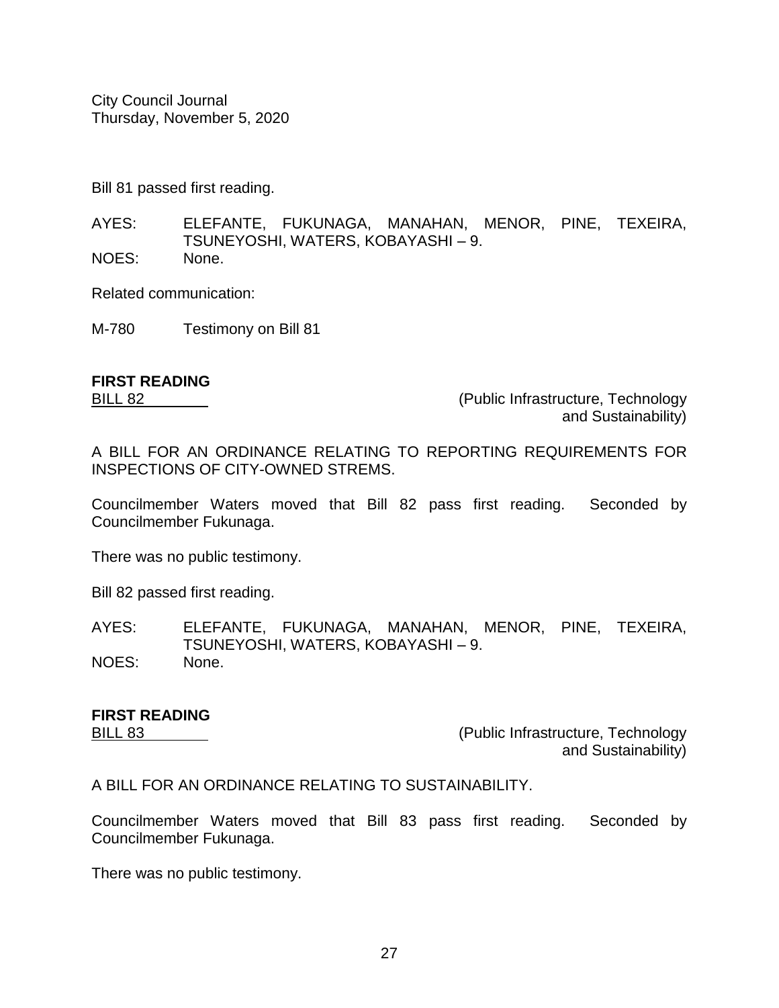Bill 81 passed first reading.

AYES: ELEFANTE, FUKUNAGA, MANAHAN, MENOR, PINE, TEXEIRA, TSUNEYOSHI, WATERS, KOBAYASHI – 9. NOES: None.

Related communication:

M-780 Testimony on Bill 81

# **FIRST READING**

BILL 82 (Public Infrastructure, Technology and Sustainability)

A BILL FOR AN ORDINANCE RELATING TO REPORTING REQUIREMENTS FOR INSPECTIONS OF CITY-OWNED STREMS.

Councilmember Waters moved that Bill 82 pass first reading. Seconded by Councilmember Fukunaga.

There was no public testimony.

Bill 82 passed first reading.

AYES: ELEFANTE, FUKUNAGA, MANAHAN, MENOR, PINE, TEXEIRA, TSUNEYOSHI, WATERS, KOBAYASHI – 9. NOES: None.

# **FIRST READING**

BILL 83 (Public Infrastructure, Technology and Sustainability)

A BILL FOR AN ORDINANCE RELATING TO SUSTAINABILITY.

Councilmember Waters moved that Bill 83 pass first reading. Seconded by Councilmember Fukunaga.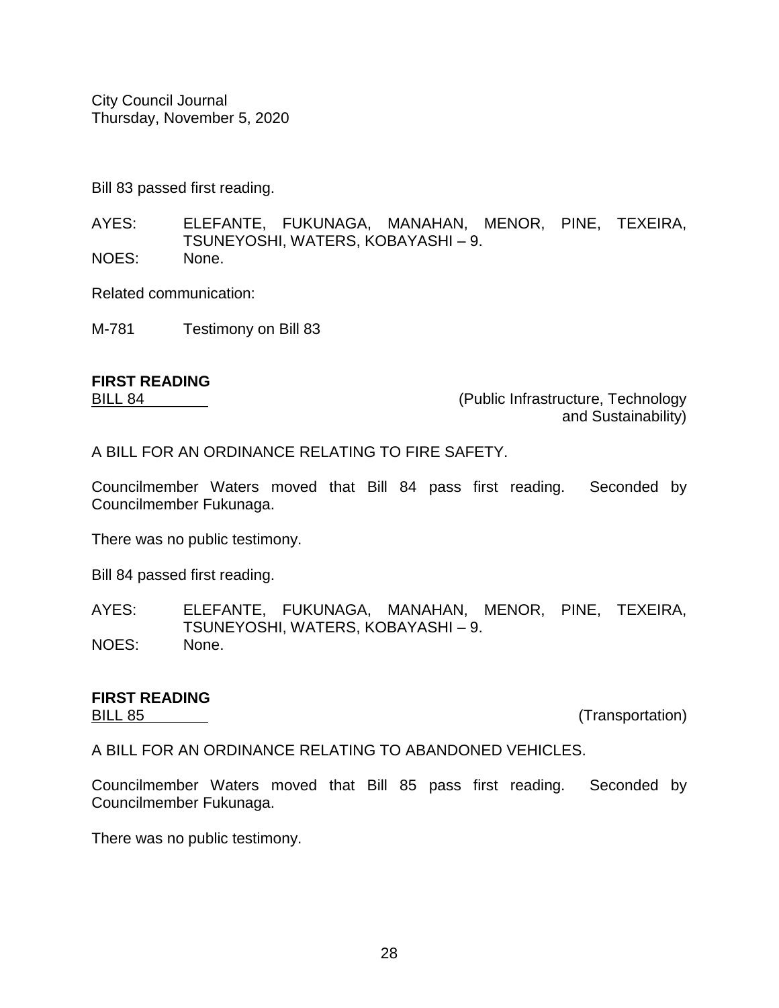Bill 83 passed first reading.

AYES: ELEFANTE, FUKUNAGA, MANAHAN, MENOR, PINE, TEXEIRA, TSUNEYOSHI, WATERS, KOBAYASHI – 9. NOES: None.

Related communication:

M-781 Testimony on Bill 83

# **FIRST READING**

BILL 84 (Public Infrastructure, Technology and Sustainability)

A BILL FOR AN ORDINANCE RELATING TO FIRE SAFETY.

Councilmember Waters moved that Bill 84 pass first reading. Seconded by Councilmember Fukunaga.

There was no public testimony.

Bill 84 passed first reading.

AYES: ELEFANTE, FUKUNAGA, MANAHAN, MENOR, PINE, TEXEIRA, TSUNEYOSHI, WATERS, KOBAYASHI – 9. NOES: None.

# **FIRST READING**

BILL 85 (Transportation)

A BILL FOR AN ORDINANCE RELATING TO ABANDONED VEHICLES.

Councilmember Waters moved that Bill 85 pass first reading. Seconded by Councilmember Fukunaga.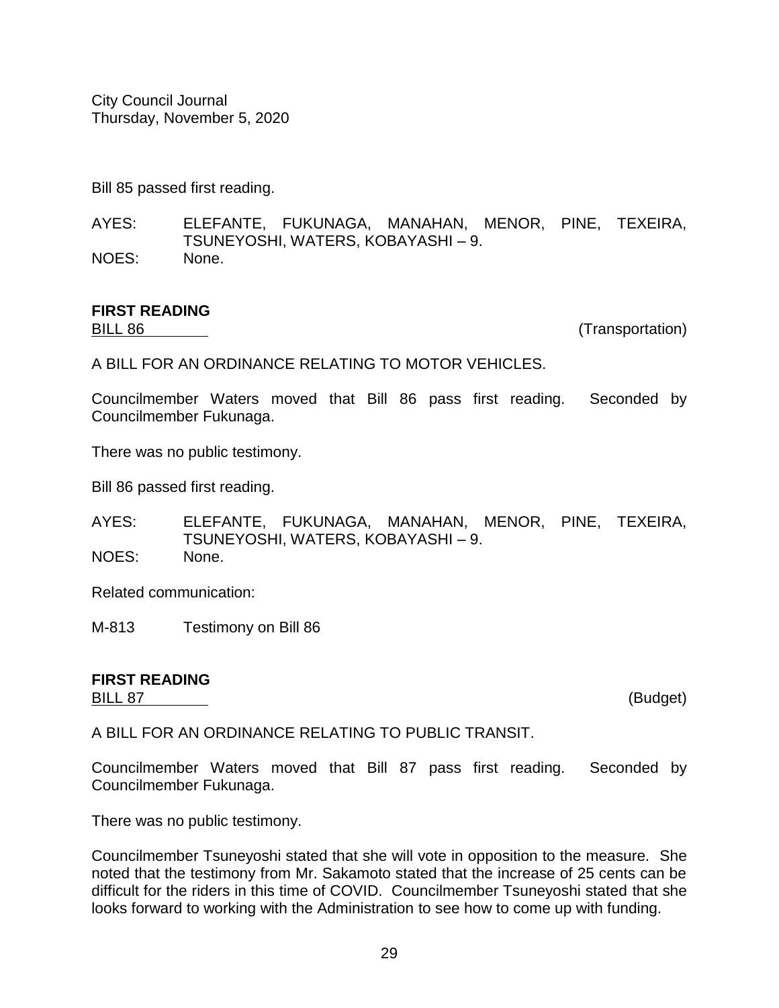Bill 85 passed first reading.

AYES: ELEFANTE, FUKUNAGA, MANAHAN, MENOR, PINE, TEXEIRA, TSUNEYOSHI, WATERS, KOBAYASHI – 9. NOES: None.

# **FIRST READING**

BILL 86 (Transportation)

A BILL FOR AN ORDINANCE RELATING TO MOTOR VEHICLES.

Councilmember Waters moved that Bill 86 pass first reading. Seconded by Councilmember Fukunaga.

There was no public testimony.

Bill 86 passed first reading.

AYES: ELEFANTE, FUKUNAGA, MANAHAN, MENOR, PINE, TEXEIRA, TSUNEYOSHI, WATERS, KOBAYASHI – 9. NOES: None.

Related communication:

M-813 Testimony on Bill 86

#### **FIRST READING** BILL 87 (Budget)

A BILL FOR AN ORDINANCE RELATING TO PUBLIC TRANSIT.

Councilmember Waters moved that Bill 87 pass first reading. Seconded by Councilmember Fukunaga.

There was no public testimony.

Councilmember Tsuneyoshi stated that she will vote in opposition to the measure. She noted that the testimony from Mr. Sakamoto stated that the increase of 25 cents can be difficult for the riders in this time of COVID. Councilmember Tsuneyoshi stated that she looks forward to working with the Administration to see how to come up with funding.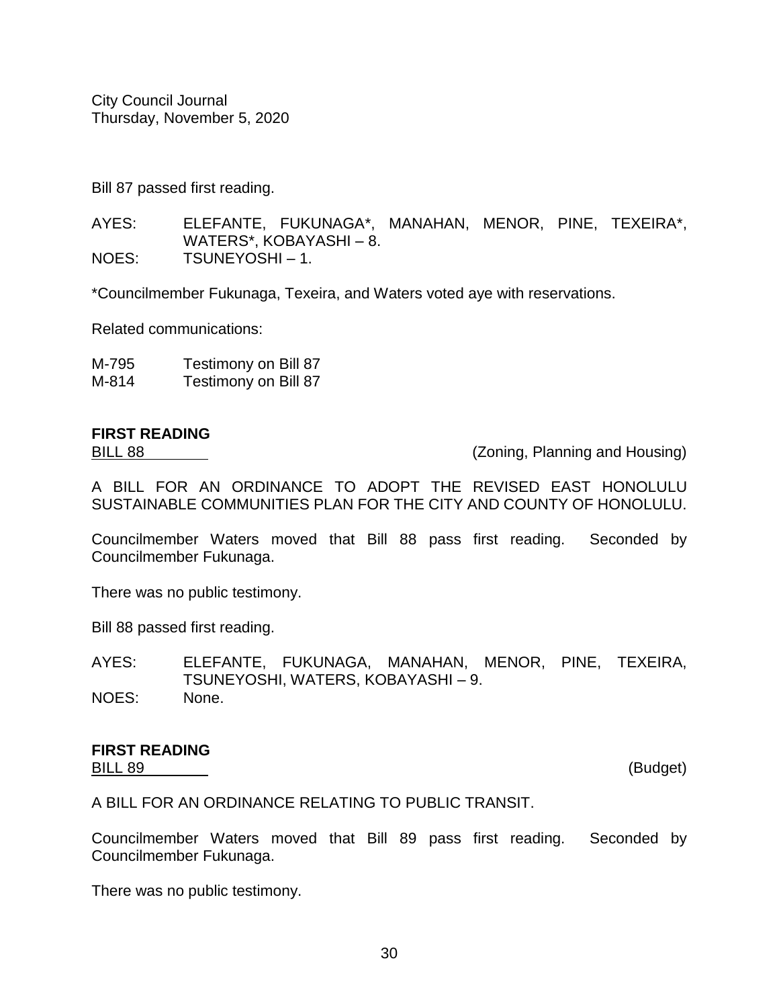Bill 87 passed first reading.

AYES: ELEFANTE, FUKUNAGA\*, MANAHAN, MENOR, PINE, TEXEIRA\*, WATERS\*, KOBAYASHI – 8. NOES: TSUNEYOSHI – 1.

\*Councilmember Fukunaga, Texeira, and Waters voted aye with reservations.

Related communications:

| M-795 | Testimony on Bill 87 |
|-------|----------------------|
| M-814 | Testimony on Bill 87 |

# **FIRST READING**

BILL 88 (Zoning, Planning and Housing)

A BILL FOR AN ORDINANCE TO ADOPT THE REVISED EAST HONOLULU SUSTAINABLE COMMUNITIES PLAN FOR THE CITY AND COUNTY OF HONOLULU.

Councilmember Waters moved that Bill 88 pass first reading. Seconded by Councilmember Fukunaga.

There was no public testimony.

Bill 88 passed first reading.

AYES: ELEFANTE, FUKUNAGA, MANAHAN, MENOR, PINE, TEXEIRA, TSUNEYOSHI, WATERS, KOBAYASHI – 9. NOES: None.

#### **FIRST READING** BILL 89 (Budget)

A BILL FOR AN ORDINANCE RELATING TO PUBLIC TRANSIT.

Councilmember Waters moved that Bill 89 pass first reading. Seconded by Councilmember Fukunaga.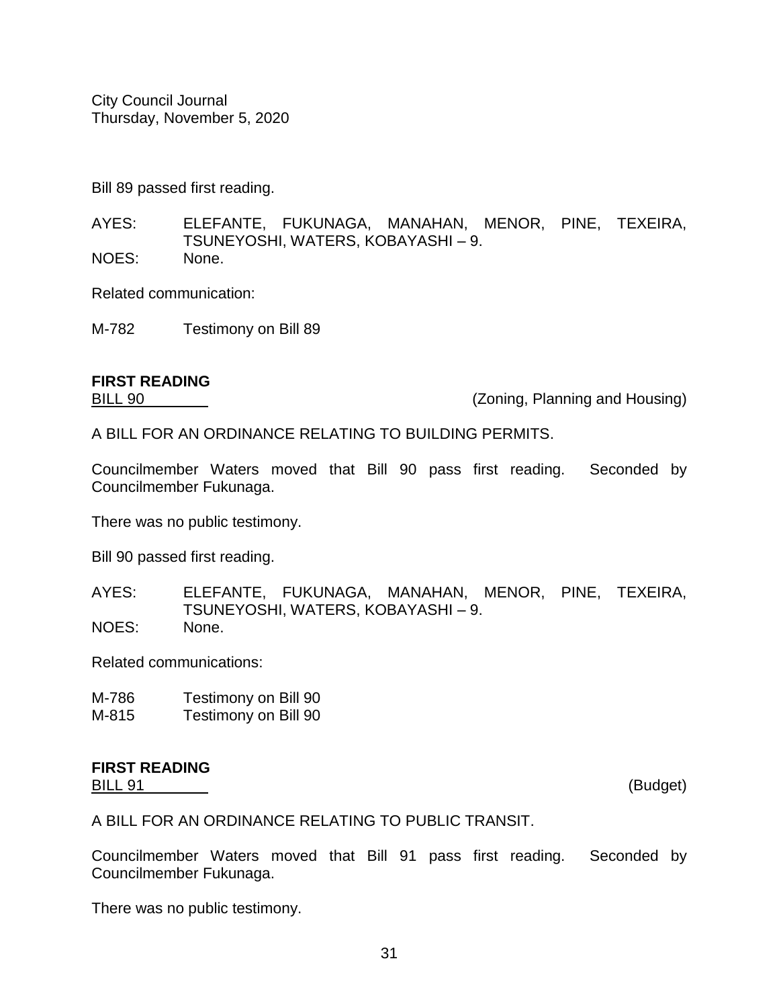Bill 89 passed first reading.

AYES: ELEFANTE, FUKUNAGA, MANAHAN, MENOR, PINE, TEXEIRA, TSUNEYOSHI, WATERS, KOBAYASHI – 9. NOES: None.

Related communication:

M-782 Testimony on Bill 89

#### **FIRST READING**

BILL 90 (Zoning, Planning and Housing)

A BILL FOR AN ORDINANCE RELATING TO BUILDING PERMITS.

Councilmember Waters moved that Bill 90 pass first reading. Seconded by Councilmember Fukunaga.

There was no public testimony.

Bill 90 passed first reading.

AYES: ELEFANTE, FUKUNAGA, MANAHAN, MENOR, PINE, TEXEIRA, TSUNEYOSHI, WATERS, KOBAYASHI – 9. NOES: None.

Related communications:

| M-786 | Testimony on Bill 90                 |  |
|-------|--------------------------------------|--|
| .     | $\tau$ . $\sim$ $\sim$ $\sim$ $\sim$ |  |

# M-815 Testimony on Bill 90

#### **FIRST READING**

BILL 91 (Budget)

A BILL FOR AN ORDINANCE RELATING TO PUBLIC TRANSIT.

Councilmember Waters moved that Bill 91 pass first reading. Seconded by Councilmember Fukunaga.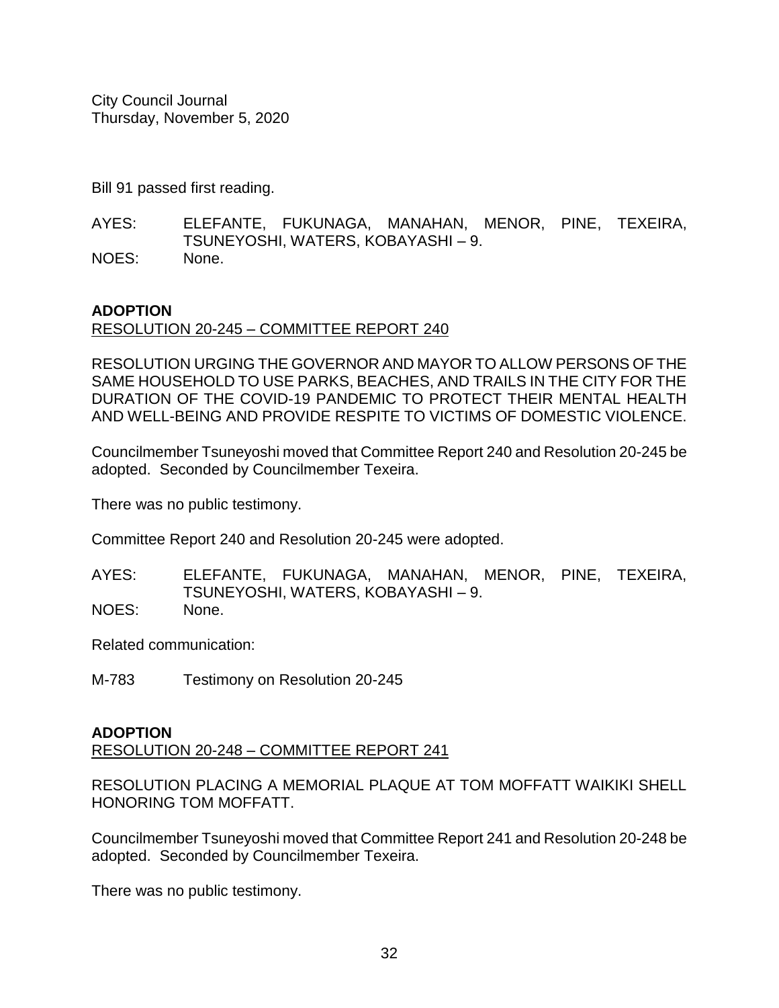Bill 91 passed first reading.

AYES: ELEFANTE, FUKUNAGA, MANAHAN, MENOR, PINE, TEXEIRA, TSUNEYOSHI, WATERS, KOBAYASHI – 9. NOES: None.

# **ADOPTION**

RESOLUTION 20-245 – COMMITTEE REPORT 240

RESOLUTION URGING THE GOVERNOR AND MAYOR TO ALLOW PERSONS OF THE SAME HOUSEHOLD TO USE PARKS, BEACHES, AND TRAILS IN THE CITY FOR THE DURATION OF THE COVID-19 PANDEMIC TO PROTECT THEIR MENTAL HEALTH AND WELL-BEING AND PROVIDE RESPITE TO VICTIMS OF DOMESTIC VIOLENCE.

Councilmember Tsuneyoshi moved that Committee Report 240 and Resolution 20-245 be adopted. Seconded by Councilmember Texeira.

There was no public testimony.

Committee Report 240 and Resolution 20-245 were adopted.

AYES: ELEFANTE, FUKUNAGA, MANAHAN, MENOR, PINE, TEXEIRA, TSUNEYOSHI, WATERS, KOBAYASHI – 9. NOES: None.

Related communication:

M-783 Testimony on Resolution 20-245

# **ADOPTION**

RESOLUTION 20-248 – COMMITTEE REPORT 241

RESOLUTION PLACING A MEMORIAL PLAQUE AT TOM MOFFATT WAIKIKI SHELL HONORING TOM MOFFATT.

Councilmember Tsuneyoshi moved that Committee Report 241 and Resolution 20-248 be adopted. Seconded by Councilmember Texeira.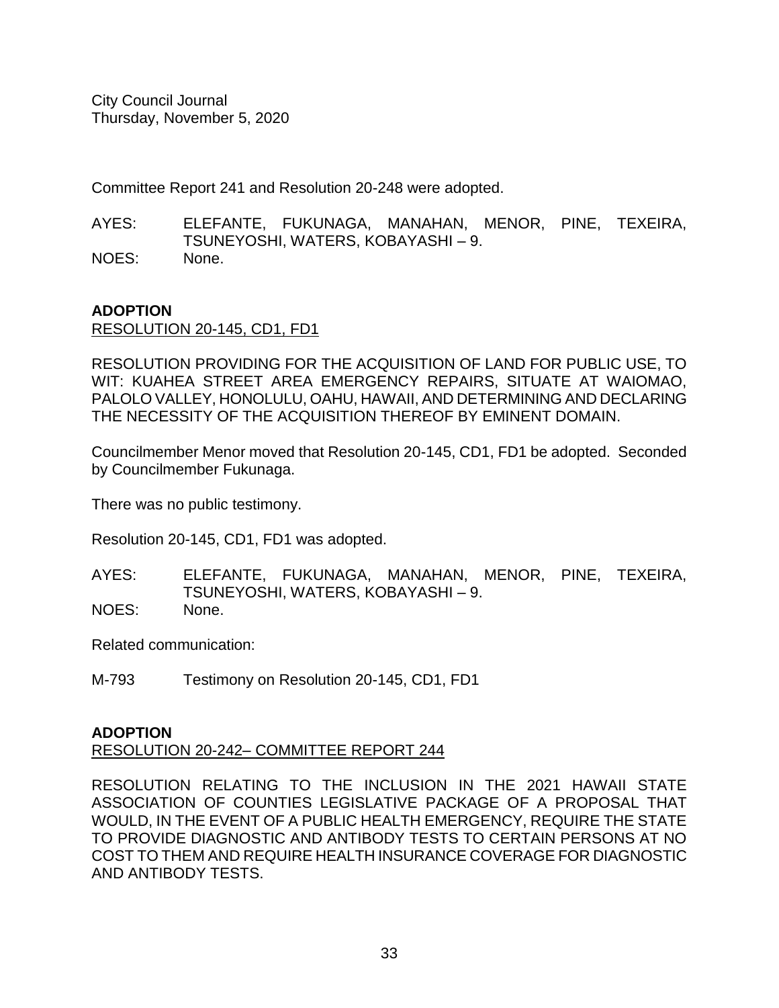Committee Report 241 and Resolution 20-248 were adopted.

AYES: ELEFANTE, FUKUNAGA, MANAHAN, MENOR, PINE, TEXEIRA, TSUNEYOSHI, WATERS, KOBAYASHI – 9. NOES: None.

# **ADOPTION**

RESOLUTION 20-145, CD1, FD1

RESOLUTION PROVIDING FOR THE ACQUISITION OF LAND FOR PUBLIC USE, TO WIT: KUAHEA STREET AREA EMERGENCY REPAIRS, SITUATE AT WAIOMAO, PALOLO VALLEY, HONOLULU, OAHU, HAWAII, AND DETERMINING AND DECLARING THE NECESSITY OF THE ACQUISITION THEREOF BY EMINENT DOMAIN.

Councilmember Menor moved that Resolution 20-145, CD1, FD1 be adopted. Seconded by Councilmember Fukunaga.

There was no public testimony.

Resolution 20-145, CD1, FD1 was adopted.

AYES: ELEFANTE, FUKUNAGA, MANAHAN, MENOR, PINE, TEXEIRA, TSUNEYOSHI, WATERS, KOBAYASHI – 9. NOES: None.

Related communication:

M-793 Testimony on Resolution 20-145, CD1, FD1

# **ADOPTION**

# RESOLUTION 20-242– COMMITTEE REPORT 244

RESOLUTION RELATING TO THE INCLUSION IN THE 2021 HAWAII STATE ASSOCIATION OF COUNTIES LEGISLATIVE PACKAGE OF A PROPOSAL THAT WOULD, IN THE EVENT OF A PUBLIC HEALTH EMERGENCY, REQUIRE THE STATE TO PROVIDE DIAGNOSTIC AND ANTIBODY TESTS TO CERTAIN PERSONS AT NO COST TO THEM AND REQUIRE HEALTH INSURANCE COVERAGE FOR DIAGNOSTIC AND ANTIBODY TESTS.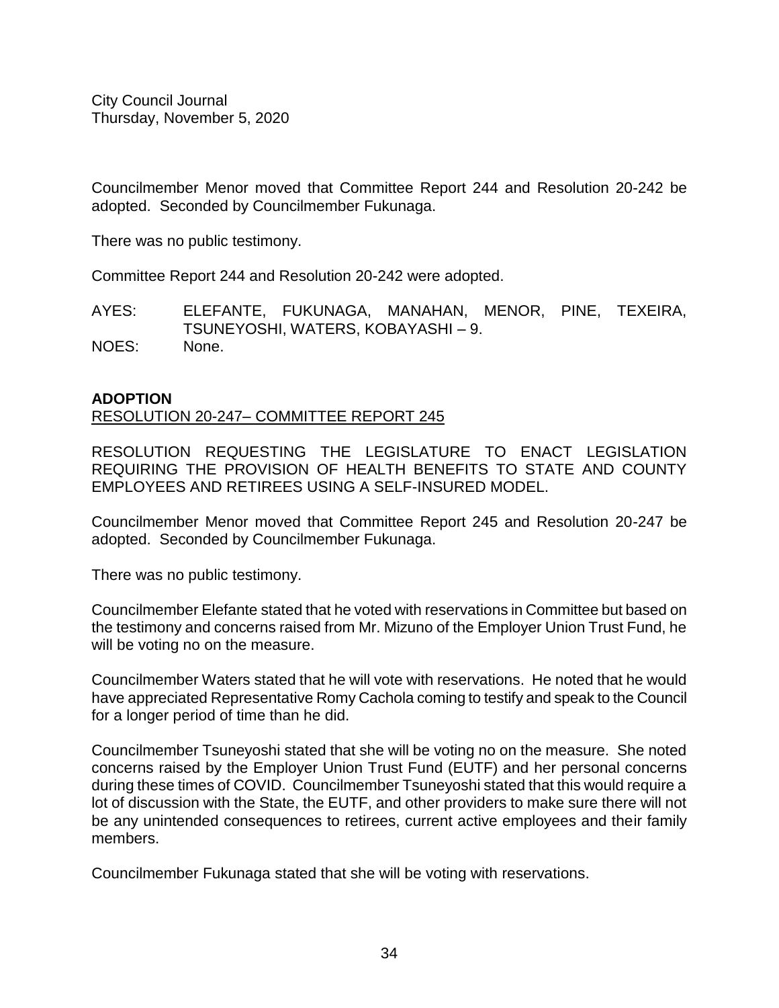Councilmember Menor moved that Committee Report 244 and Resolution 20-242 be adopted. Seconded by Councilmember Fukunaga.

There was no public testimony.

Committee Report 244 and Resolution 20-242 were adopted.

AYES: ELEFANTE, FUKUNAGA, MANAHAN, MENOR, PINE, TEXEIRA, TSUNEYOSHI, WATERS, KOBAYASHI – 9.

NOES: None.

#### **ADOPTION**

#### RESOLUTION 20-247– COMMITTEE REPORT 245

RESOLUTION REQUESTING THE LEGISLATURE TO ENACT LEGISLATION REQUIRING THE PROVISION OF HEALTH BENEFITS TO STATE AND COUNTY EMPLOYEES AND RETIREES USING A SELF-INSURED MODEL.

Councilmember Menor moved that Committee Report 245 and Resolution 20-247 be adopted. Seconded by Councilmember Fukunaga.

There was no public testimony.

Councilmember Elefante stated that he voted with reservations in Committee but based on the testimony and concerns raised from Mr. Mizuno of the Employer Union Trust Fund, he will be voting no on the measure.

Councilmember Waters stated that he will vote with reservations. He noted that he would have appreciated Representative Romy Cachola coming to testify and speak to the Council for a longer period of time than he did.

Councilmember Tsuneyoshi stated that she will be voting no on the measure. She noted concerns raised by the Employer Union Trust Fund (EUTF) and her personal concerns during these times of COVID. Councilmember Tsuneyoshi stated that this would require a lot of discussion with the State, the EUTF, and other providers to make sure there will not be any unintended consequences to retirees, current active employees and their family members.

Councilmember Fukunaga stated that she will be voting with reservations.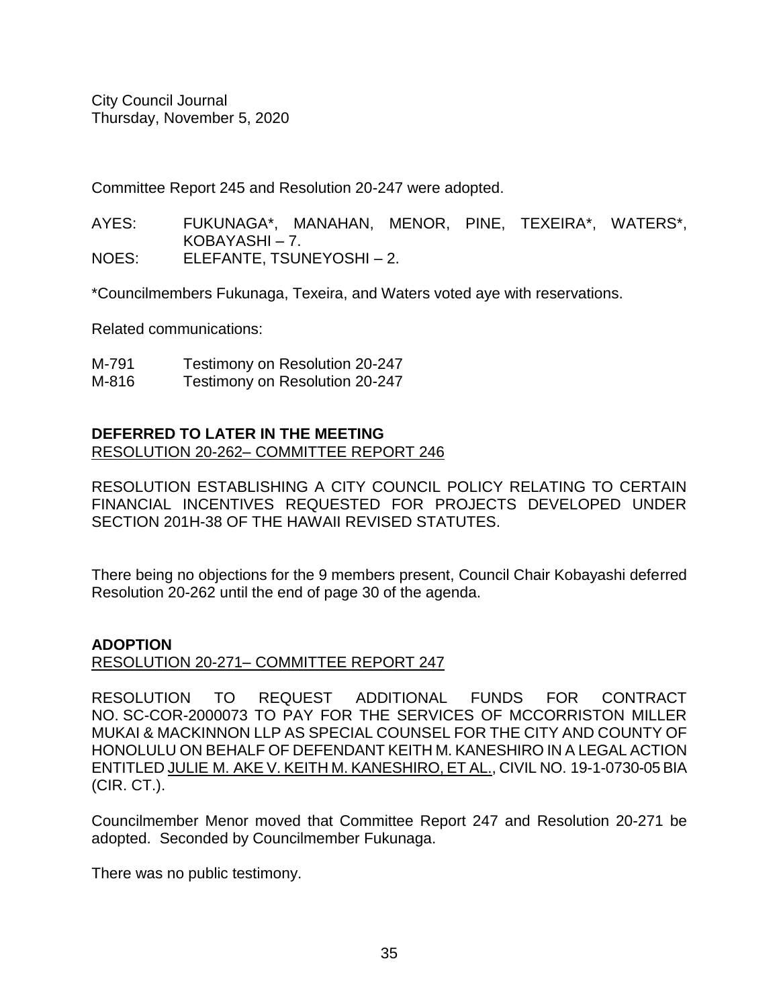Committee Report 245 and Resolution 20-247 were adopted.

AYES: FUKUNAGA\*, MANAHAN, MENOR, PINE, TEXEIRA\*, WATERS\*, KOBAYASHI – 7.

NOES: ELEFANTE, TSUNEYOSHI – 2.

\*Councilmembers Fukunaga, Texeira, and Waters voted aye with reservations.

Related communications:

| M-791 | Testimony on Resolution 20-247 |
|-------|--------------------------------|
| M-816 | Testimony on Resolution 20-247 |

# **DEFERRED TO LATER IN THE MEETING** RESOLUTION 20-262– COMMITTEE REPORT 246

RESOLUTION ESTABLISHING A CITY COUNCIL POLICY RELATING TO CERTAIN FINANCIAL INCENTIVES REQUESTED FOR PROJECTS DEVELOPED UNDER SECTION 201H-38 OF THE HAWAII REVISED STATUTES.

There being no objections for the 9 members present, Council Chair Kobayashi deferred Resolution 20-262 until the end of page 30 of the agenda.

# **ADOPTION**

RESOLUTION 20-271– COMMITTEE REPORT 247

RESOLUTION TO REQUEST ADDITIONAL FUNDS FOR CONTRACT NO. SC-COR-2000073 TO PAY FOR THE SERVICES OF MCCORRISTON MILLER MUKAI & MACKINNON LLP AS SPECIAL COUNSEL FOR THE CITY AND COUNTY OF HONOLULU ON BEHALF OF DEFENDANT KEITH M. KANESHIRO IN A LEGAL ACTION ENTITLED JULIE M. AKE V. KEITH M. KANESHIRO, ET AL., CIVIL NO. 19-1-0730-05 BIA (CIR. CT.).

Councilmember Menor moved that Committee Report 247 and Resolution 20-271 be adopted. Seconded by Councilmember Fukunaga.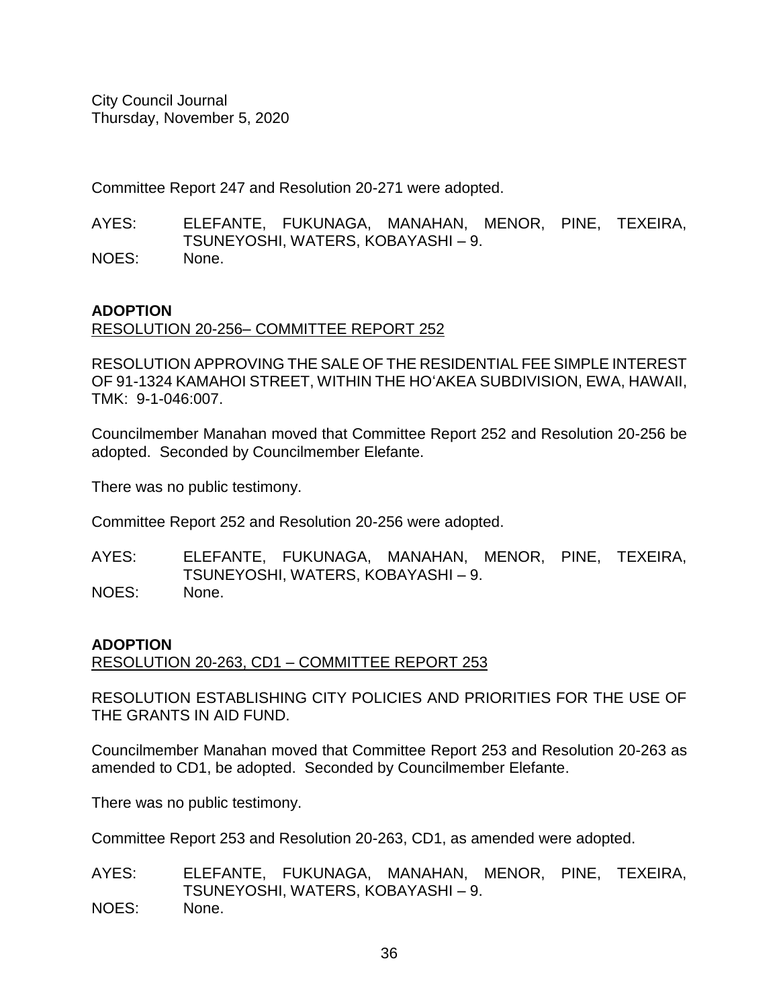Committee Report 247 and Resolution 20-271 were adopted.

AYES: ELEFANTE, FUKUNAGA, MANAHAN, MENOR, PINE, TEXEIRA, TSUNEYOSHI, WATERS, KOBAYASHI – 9. NOES: None.

# **ADOPTION**

RESOLUTION 20-256– COMMITTEE REPORT 252

RESOLUTION APPROVING THE SALE OF THE RESIDENTIAL FEE SIMPLE INTEREST OF 91-1324 KAMAHOI STREET, WITHIN THE HO'AKEA SUBDIVISION, EWA, HAWAII, TMK: 9-1-046:007.

Councilmember Manahan moved that Committee Report 252 and Resolution 20-256 be adopted. Seconded by Councilmember Elefante.

There was no public testimony.

Committee Report 252 and Resolution 20-256 were adopted.

AYES: ELEFANTE, FUKUNAGA, MANAHAN, MENOR, PINE, TEXEIRA, TSUNEYOSHI, WATERS, KOBAYASHI – 9. NOES: None.

# **ADOPTION**

RESOLUTION 20-263, CD1 – COMMITTEE REPORT 253

RESOLUTION ESTABLISHING CITY POLICIES AND PRIORITIES FOR THE USE OF THE GRANTS IN AID FUND.

Councilmember Manahan moved that Committee Report 253 and Resolution 20-263 as amended to CD1, be adopted. Seconded by Councilmember Elefante.

There was no public testimony.

Committee Report 253 and Resolution 20-263, CD1, as amended were adopted.

AYES: ELEFANTE, FUKUNAGA, MANAHAN, MENOR, PINE, TEXEIRA, TSUNEYOSHI, WATERS, KOBAYASHI – 9. NOES: None.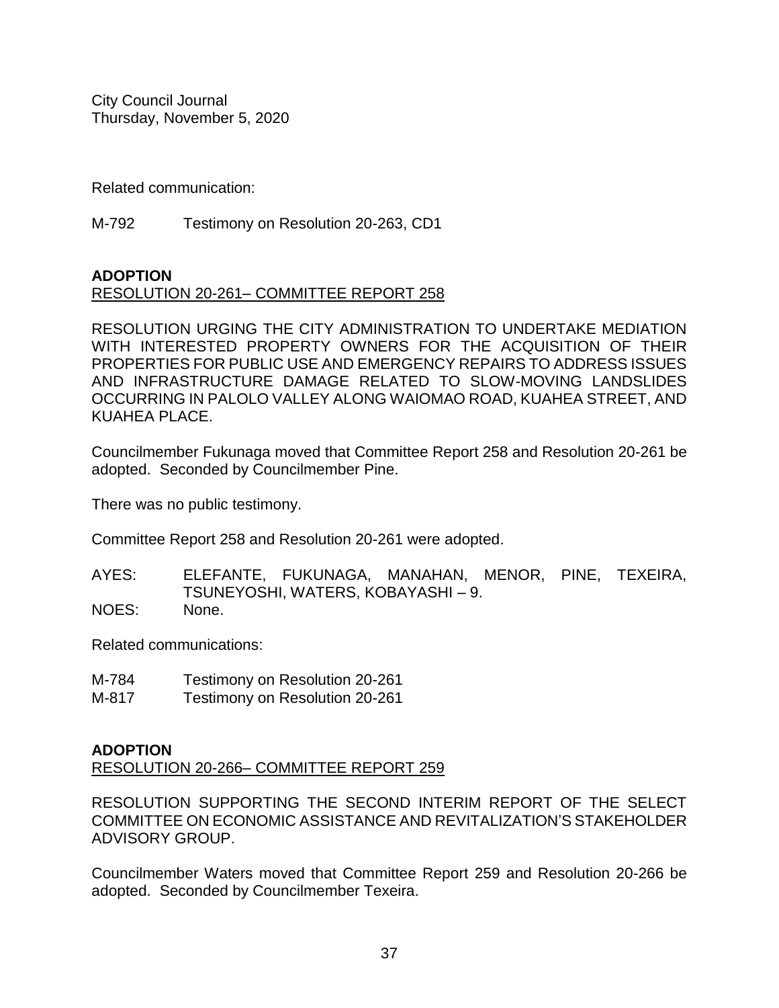Related communication:

M-792 Testimony on Resolution 20-263, CD1

# **ADOPTION**

# RESOLUTION 20-261– COMMITTEE REPORT 258

RESOLUTION URGING THE CITY ADMINISTRATION TO UNDERTAKE MEDIATION WITH INTERESTED PROPERTY OWNERS FOR THE ACQUISITION OF THEIR PROPERTIES FOR PUBLIC USE AND EMERGENCY REPAIRS TO ADDRESS ISSUES AND INFRASTRUCTURE DAMAGE RELATED TO SLOW-MOVING LANDSLIDES OCCURRING IN PALOLO VALLEY ALONG WAIOMAO ROAD, KUAHEA STREET, AND KUAHEA PLACE.

Councilmember Fukunaga moved that Committee Report 258 and Resolution 20-261 be adopted. Seconded by Councilmember Pine.

There was no public testimony.

Committee Report 258 and Resolution 20-261 were adopted.

AYES: ELEFANTE, FUKUNAGA, MANAHAN, MENOR, PINE, TEXEIRA, TSUNEYOSHI, WATERS, KOBAYASHI – 9. NOES: None.

Related communications:

- M-784 Testimony on Resolution 20-261
- M-817 Testimony on Resolution 20-261

# **ADOPTION**

RESOLUTION 20-266– COMMITTEE REPORT 259

RESOLUTION SUPPORTING THE SECOND INTERIM REPORT OF THE SELECT COMMITTEE ON ECONOMIC ASSISTANCE AND REVITALIZATION'S STAKEHOLDER ADVISORY GROUP.

Councilmember Waters moved that Committee Report 259 and Resolution 20-266 be adopted. Seconded by Councilmember Texeira.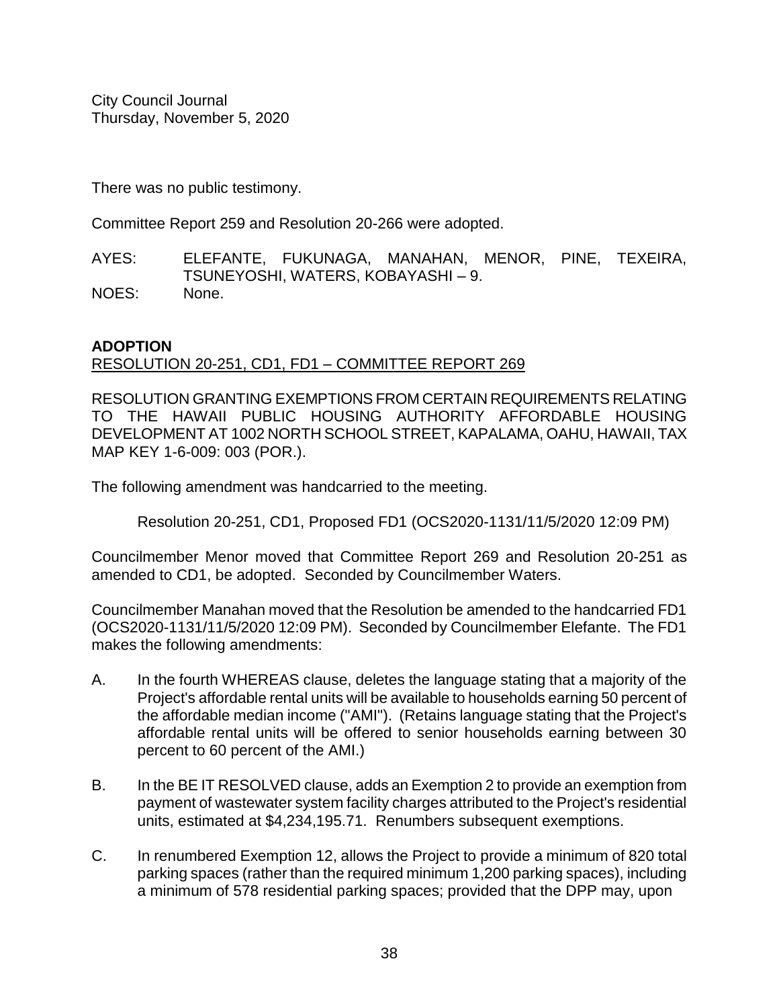There was no public testimony.

Committee Report 259 and Resolution 20-266 were adopted.

AYES: ELEFANTE, FUKUNAGA, MANAHAN, MENOR, PINE, TEXEIRA, TSUNEYOSHI, WATERS, KOBAYASHI – 9. NOES: None.

# **ADOPTION**

# RESOLUTION 20-251, CD1, FD1 – COMMITTEE REPORT 269

RESOLUTION GRANTING EXEMPTIONS FROM CERTAIN REQUIREMENTS RELATING TO THE HAWAII PUBLIC HOUSING AUTHORITY AFFORDABLE HOUSING DEVELOPMENT AT 1002 NORTH SCHOOL STREET, KAPALAMA, OAHU, HAWAII, TAX MAP KEY 1-6-009: 003 (POR.).

The following amendment was handcarried to the meeting.

Resolution 20-251, CD1, Proposed FD1 (OCS2020-1131/11/5/2020 12:09 PM)

Councilmember Menor moved that Committee Report 269 and Resolution 20-251 as amended to CD1, be adopted. Seconded by Councilmember Waters.

Councilmember Manahan moved that the Resolution be amended to the handcarried FD1 (OCS2020-1131/11/5/2020 12:09 PM). Seconded by Councilmember Elefante. The FD1 makes the following amendments:

- A. In the fourth WHEREAS clause, deletes the language stating that a majority of the Project's affordable rental units will be available to households earning 50 percent of the affordable median income ("AMI"). (Retains language stating that the Project's affordable rental units will be offered to senior households earning between 30 percent to 60 percent of the AMI.)
- B. In the BE IT RESOLVED clause, adds an Exemption 2 to provide an exemption from payment of wastewater system facility charges attributed to the Project's residential units, estimated at \$4,234,195.71. Renumbers subsequent exemptions.
- C. In renumbered Exemption 12, allows the Project to provide a minimum of 820 total parking spaces (rather than the required minimum 1,200 parking spaces), including a minimum of 578 residential parking spaces; provided that the DPP may, upon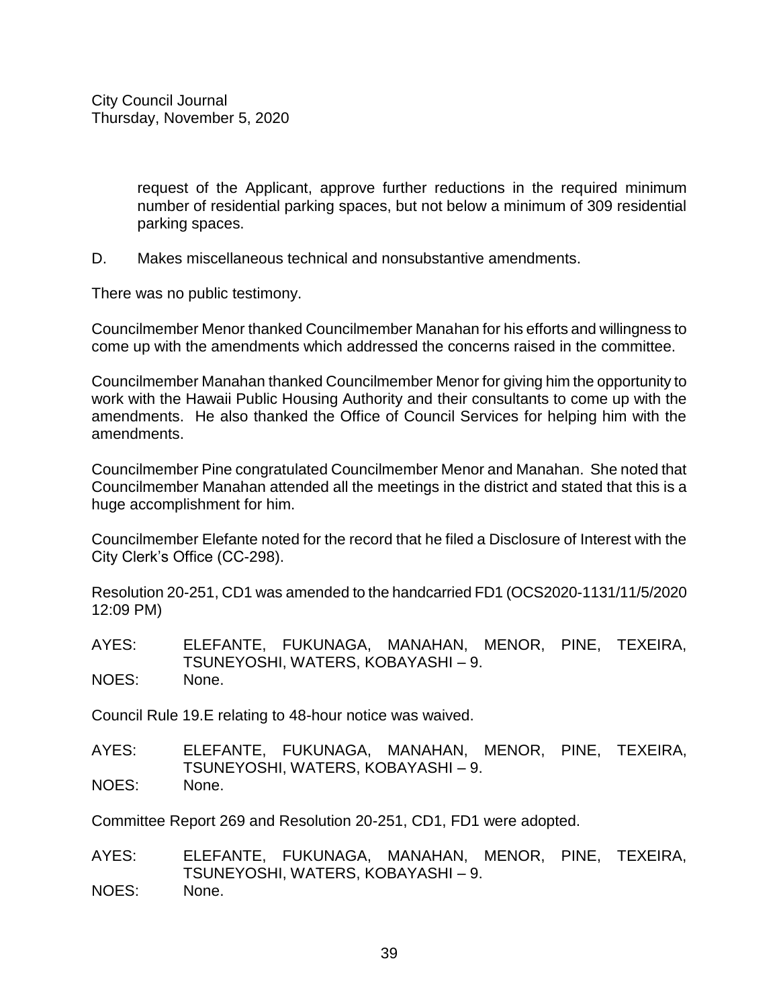request of the Applicant, approve further reductions in the required minimum number of residential parking spaces, but not below a minimum of 309 residential parking spaces.

D. Makes miscellaneous technical and nonsubstantive amendments.

There was no public testimony.

Councilmember Menor thanked Councilmember Manahan for his efforts and willingness to come up with the amendments which addressed the concerns raised in the committee.

Councilmember Manahan thanked Councilmember Menor for giving him the opportunity to work with the Hawaii Public Housing Authority and their consultants to come up with the amendments. He also thanked the Office of Council Services for helping him with the amendments.

Councilmember Pine congratulated Councilmember Menor and Manahan. She noted that Councilmember Manahan attended all the meetings in the district and stated that this is a huge accomplishment for him.

Councilmember Elefante noted for the record that he filed a Disclosure of Interest with the City Clerk's Office (CC-298).

Resolution 20-251, CD1 was amended to the handcarried FD1 (OCS2020-1131/11/5/2020 12:09 PM)

AYES: ELEFANTE, FUKUNAGA, MANAHAN, MENOR, PINE, TEXEIRA, TSUNEYOSHI, WATERS, KOBAYASHI – 9. NOES: None.

Council Rule 19.E relating to 48-hour notice was waived.

AYES: ELEFANTE, FUKUNAGA, MANAHAN, MENOR, PINE, TEXEIRA, TSUNEYOSHI, WATERS, KOBAYASHI – 9. NOES: None.

Committee Report 269 and Resolution 20-251, CD1, FD1 were adopted.

AYES: ELEFANTE, FUKUNAGA, MANAHAN, MENOR, PINE, TEXEIRA, TSUNEYOSHI, WATERS, KOBAYASHI – 9. NOES: None.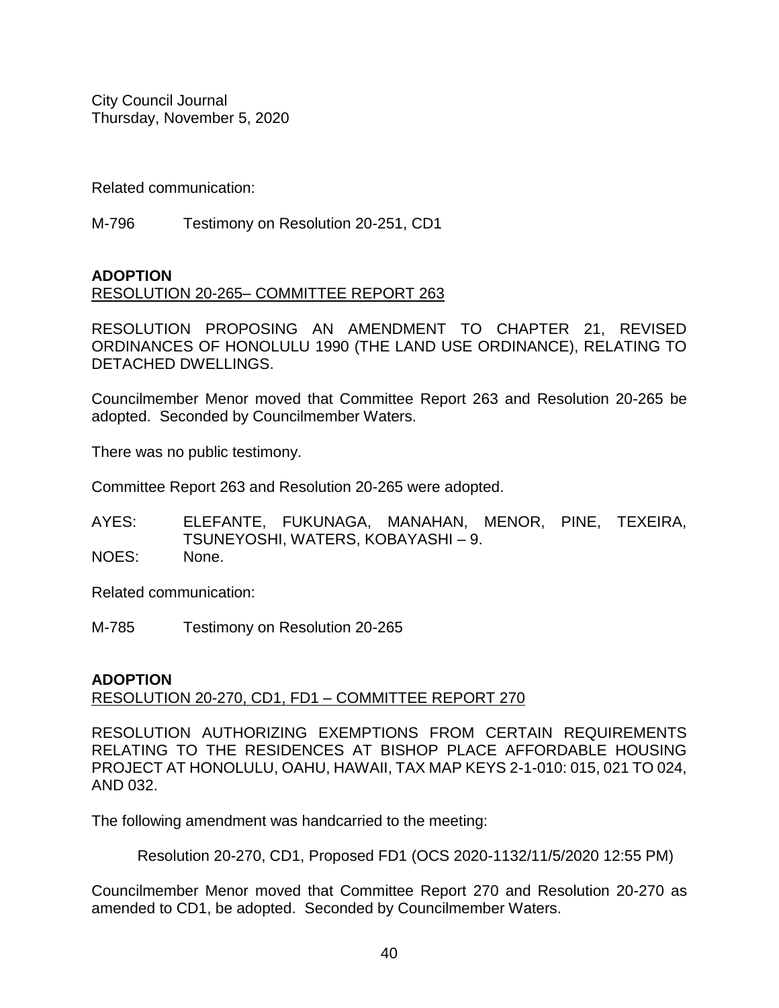Related communication:

M-796 Testimony on Resolution 20-251, CD1

# **ADOPTION**

# RESOLUTION 20-265– COMMITTEE REPORT 263

RESOLUTION PROPOSING AN AMENDMENT TO CHAPTER 21, REVISED ORDINANCES OF HONOLULU 1990 (THE LAND USE ORDINANCE), RELATING TO DETACHED DWELLINGS.

Councilmember Menor moved that Committee Report 263 and Resolution 20-265 be adopted. Seconded by Councilmember Waters.

There was no public testimony.

Committee Report 263 and Resolution 20-265 were adopted.

AYES: ELEFANTE, FUKUNAGA, MANAHAN, MENOR, PINE, TEXEIRA, TSUNEYOSHI, WATERS, KOBAYASHI – 9. NOES: None.

Related communication:

M-785 Testimony on Resolution 20-265

# **ADOPTION**

RESOLUTION 20-270, CD1, FD1 – COMMITTEE REPORT 270

RESOLUTION AUTHORIZING EXEMPTIONS FROM CERTAIN REQUIREMENTS RELATING TO THE RESIDENCES AT BISHOP PLACE AFFORDABLE HOUSING PROJECT AT HONOLULU, OAHU, HAWAII, TAX MAP KEYS 2-1-010: 015, 021 TO 024, AND 032.

The following amendment was handcarried to the meeting:

Resolution 20-270, CD1, Proposed FD1 (OCS 2020-1132/11/5/2020 12:55 PM)

Councilmember Menor moved that Committee Report 270 and Resolution 20-270 as amended to CD1, be adopted. Seconded by Councilmember Waters.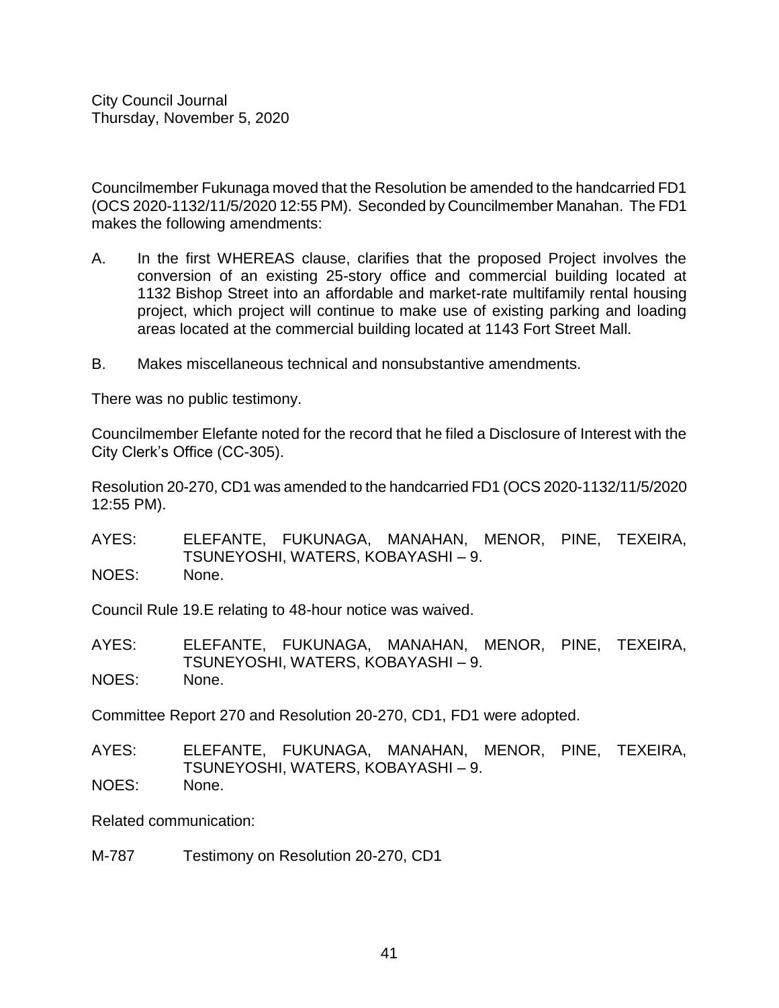Councilmember Fukunaga moved that the Resolution be amended to the handcarried FD1 (OCS 2020-1132/11/5/2020 12:55 PM). Seconded by Councilmember Manahan. The FD1 makes the following amendments:

- A. In the first WHEREAS clause, clarifies that the proposed Project involves the conversion of an existing 25-story office and commercial building located at 1132 Bishop Street into an affordable and market-rate multifamily rental housing project, which project will continue to make use of existing parking and loading areas located at the commercial building located at 1143 Fort Street Mall.
- B. Makes miscellaneous technical and nonsubstantive amendments.

There was no public testimony.

Councilmember Elefante noted for the record that he filed a Disclosure of Interest with the City Clerk's Office (CC-305).

Resolution 20-270, CD1 was amended to the handcarried FD1 (OCS 2020-1132/11/5/2020 12:55 PM).

AYES: ELEFANTE, FUKUNAGA, MANAHAN, MENOR, PINE, TEXEIRA, TSUNEYOSHI, WATERS, KOBAYASHI – 9. NOES: None.

Council Rule 19.E relating to 48-hour notice was waived.

AYES: ELEFANTE, FUKUNAGA, MANAHAN, MENOR, PINE, TEXEIRA, TSUNEYOSHI, WATERS, KOBAYASHI – 9. NOES: None.

Committee Report 270 and Resolution 20-270, CD1, FD1 were adopted.

AYES: ELEFANTE, FUKUNAGA, MANAHAN, MENOR, PINE, TEXEIRA, TSUNEYOSHI, WATERS, KOBAYASHI – 9. NOES: None.

Related communication:

M-787 Testimony on Resolution 20-270, CD1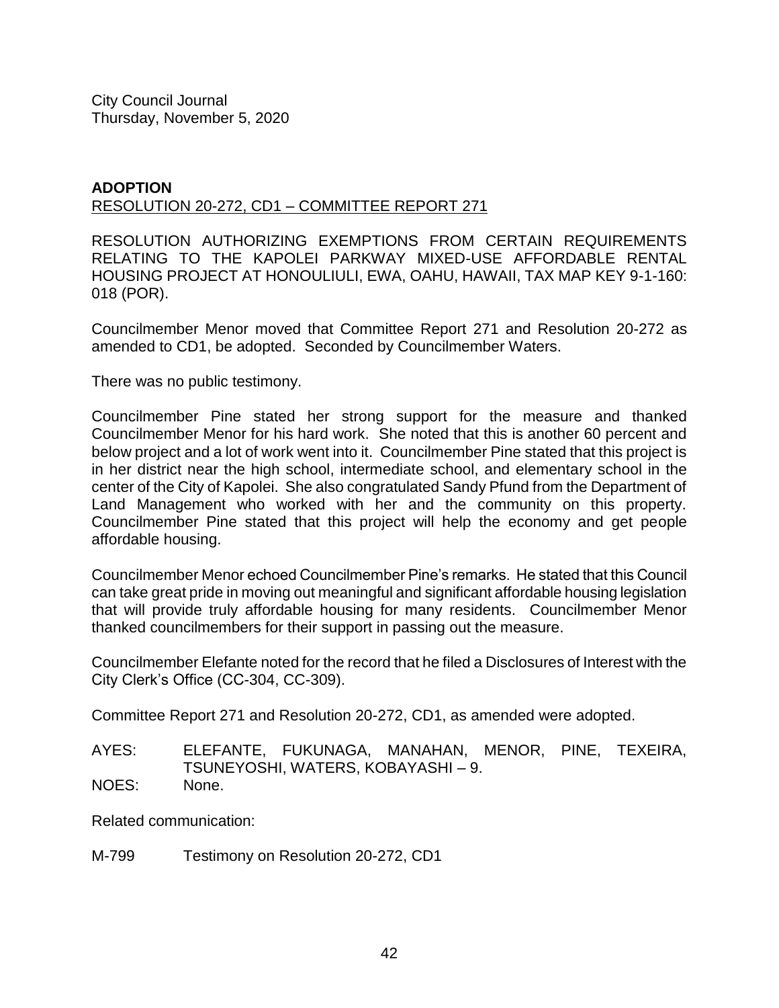#### **ADOPTION** RESOLUTION 20-272, CD1 – COMMITTEE REPORT 271

RESOLUTION AUTHORIZING EXEMPTIONS FROM CERTAIN REQUIREMENTS RELATING TO THE KAPOLEI PARKWAY MIXED-USE AFFORDABLE RENTAL HOUSING PROJECT AT HONOULIULI, EWA, OAHU, HAWAII, TAX MAP KEY 9-1-160: 018 (POR).

Councilmember Menor moved that Committee Report 271 and Resolution 20-272 as amended to CD1, be adopted. Seconded by Councilmember Waters.

There was no public testimony.

Councilmember Pine stated her strong support for the measure and thanked Councilmember Menor for his hard work. She noted that this is another 60 percent and below project and a lot of work went into it. Councilmember Pine stated that this project is in her district near the high school, intermediate school, and elementary school in the center of the City of Kapolei. She also congratulated Sandy Pfund from the Department of Land Management who worked with her and the community on this property. Councilmember Pine stated that this project will help the economy and get people affordable housing.

Councilmember Menor echoed Councilmember Pine's remarks. He stated that this Council can take great pride in moving out meaningful and significant affordable housing legislation that will provide truly affordable housing for many residents. Councilmember Menor thanked councilmembers for their support in passing out the measure.

Councilmember Elefante noted for the record that he filed a Disclosures of Interest with the City Clerk's Office (CC-304, CC-309).

Committee Report 271 and Resolution 20-272, CD1, as amended were adopted.

AYES: ELEFANTE, FUKUNAGA, MANAHAN, MENOR, PINE, TEXEIRA, TSUNEYOSHI, WATERS, KOBAYASHI – 9. NOES: None.

Related communication:

M-799 Testimony on Resolution 20-272, CD1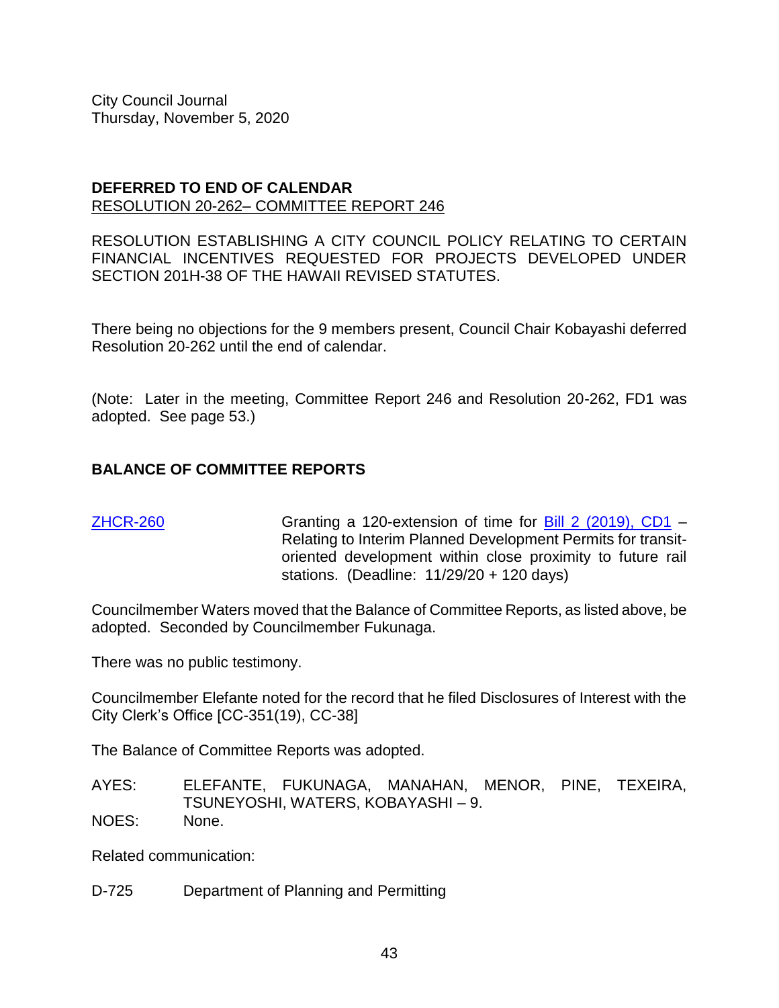#### **DEFERRED TO END OF CALENDAR** RESOLUTION 20-262– COMMITTEE REPORT 246

RESOLUTION ESTABLISHING A CITY COUNCIL POLICY RELATING TO CERTAIN FINANCIAL INCENTIVES REQUESTED FOR PROJECTS DEVELOPED UNDER SECTION 201H-38 OF THE HAWAII REVISED STATUTES.

There being no objections for the 9 members present, Council Chair Kobayashi deferred Resolution 20-262 until the end of calendar.

(Note: Later in the meeting, Committee Report 246 and Resolution 20-262, FD1 was adopted. See page 53.)

# **BALANCE OF COMMITTEE REPORTS**

[ZHCR-260](https://hnldoc.ehawaii.gov/hnldoc/document-download?id=8241) Granting a 120-extension of time for [Bill 2 \(2019\), CD1](https://hnldoc.ehawaii.gov/hnldoc/document-download?id=772) – Relating to Interim Planned Development Permits for transitoriented development within close proximity to future rail stations. (Deadline: 11/29/20 + 120 days)

Councilmember Waters moved that the Balance of Committee Reports, as listed above, be adopted. Seconded by Councilmember Fukunaga.

There was no public testimony.

Councilmember Elefante noted for the record that he filed Disclosures of Interest with the City Clerk's Office [CC-351(19), CC-38]

The Balance of Committee Reports was adopted.

AYES: ELEFANTE, FUKUNAGA, MANAHAN, MENOR, PINE, TEXEIRA, TSUNEYOSHI, WATERS, KOBAYASHI – 9. NOES: None.

Related communication:

D-725 Department of Planning and Permitting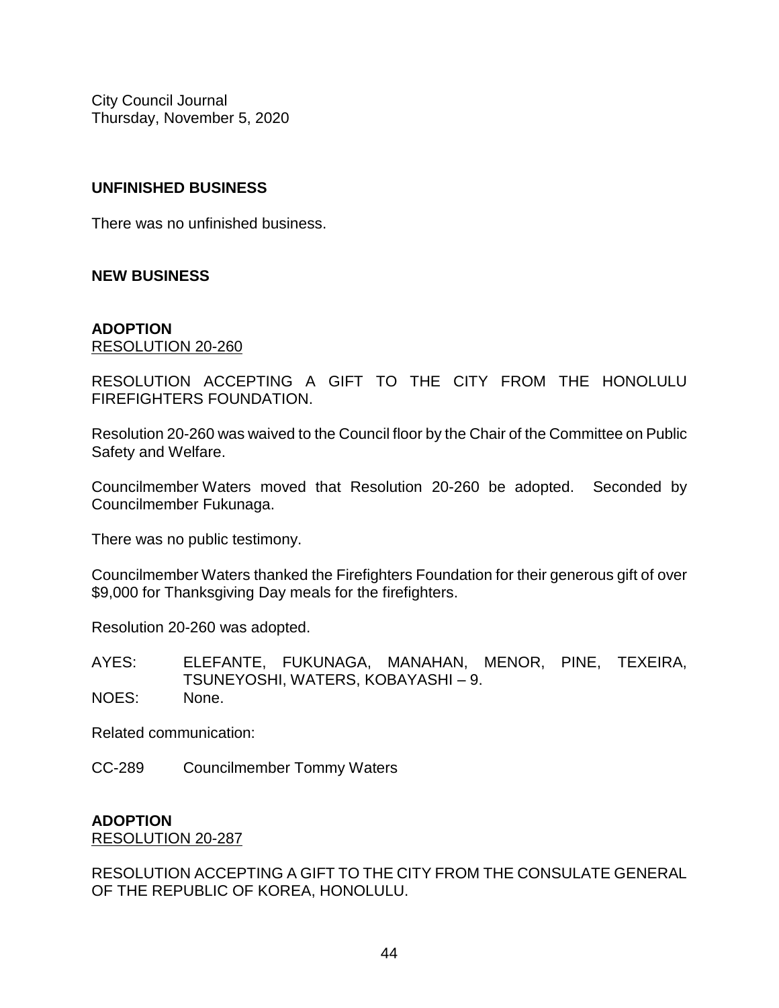# **UNFINISHED BUSINESS**

There was no unfinished business.

# **NEW BUSINESS**

#### **ADOPTION** RESOLUTION 20-260

RESOLUTION ACCEPTING A GIFT TO THE CITY FROM THE HONOLULU FIREFIGHTERS FOUNDATION.

Resolution 20-260 was waived to the Council floor by the Chair of the Committee on Public Safety and Welfare.

Councilmember Waters moved that Resolution 20-260 be adopted. Seconded by Councilmember Fukunaga.

There was no public testimony.

Councilmember Waters thanked the Firefighters Foundation for their generous gift of over \$9,000 for Thanksgiving Day meals for the firefighters.

Resolution 20-260 was adopted.

AYES: ELEFANTE, FUKUNAGA, MANAHAN, MENOR, PINE, TEXEIRA, TSUNEYOSHI, WATERS, KOBAYASHI – 9. NOES: None.

Related communication:

CC-289 Councilmember Tommy Waters

# **ADOPTION**

RESOLUTION 20-287

RESOLUTION ACCEPTING A GIFT TO THE CITY FROM THE CONSULATE GENERAL OF THE REPUBLIC OF KOREA, HONOLULU.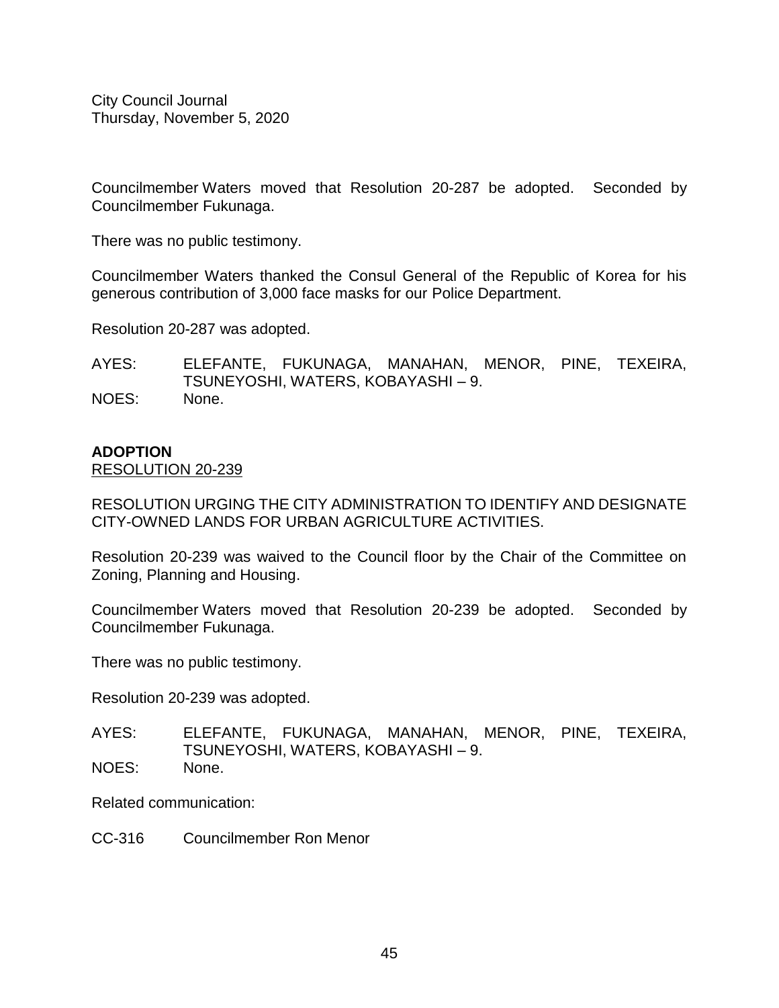Councilmember Waters moved that Resolution 20-287 be adopted. Seconded by Councilmember Fukunaga.

There was no public testimony.

Councilmember Waters thanked the Consul General of the Republic of Korea for his generous contribution of 3,000 face masks for our Police Department.

Resolution 20-287 was adopted.

AYES: ELEFANTE, FUKUNAGA, MANAHAN, MENOR, PINE, TEXEIRA, TSUNEYOSHI, WATERS, KOBAYASHI – 9. NOES: None.

#### **ADOPTION**

#### RESOLUTION 20-239

RESOLUTION URGING THE CITY ADMINISTRATION TO IDENTIFY AND DESIGNATE CITY-OWNED LANDS FOR URBAN AGRICULTURE ACTIVITIES.

Resolution 20-239 was waived to the Council floor by the Chair of the Committee on Zoning, Planning and Housing.

Councilmember Waters moved that Resolution 20-239 be adopted. Seconded by Councilmember Fukunaga.

There was no public testimony.

Resolution 20-239 was adopted.

AYES: ELEFANTE, FUKUNAGA, MANAHAN, MENOR, PINE, TEXEIRA, TSUNEYOSHI, WATERS, KOBAYASHI – 9. NOES: None.

Related communication:

CC-316 Councilmember Ron Menor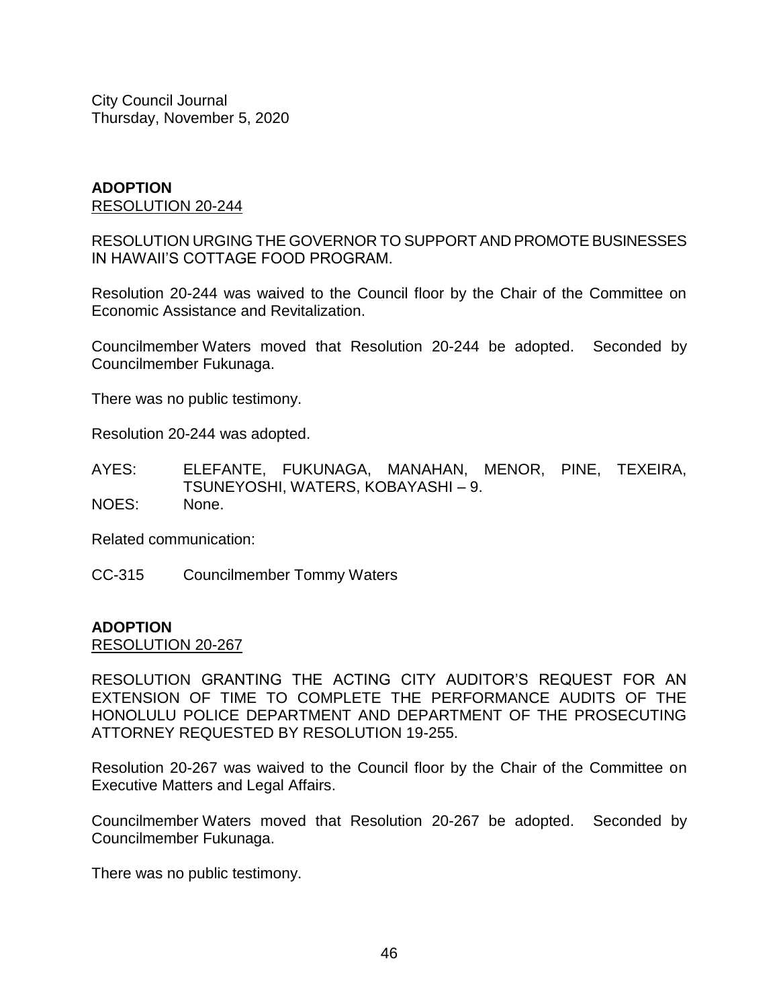#### **ADOPTION** RESOLUTION 20-244

RESOLUTION URGING THE GOVERNOR TO SUPPORT AND PROMOTE BUSINESSES IN HAWAII'S COTTAGE FOOD PROGRAM.

Resolution 20-244 was waived to the Council floor by the Chair of the Committee on Economic Assistance and Revitalization.

Councilmember Waters moved that Resolution 20-244 be adopted. Seconded by Councilmember Fukunaga.

There was no public testimony.

Resolution 20-244 was adopted.

AYES: ELEFANTE, FUKUNAGA, MANAHAN, MENOR, PINE, TEXEIRA, TSUNEYOSHI, WATERS, KOBAYASHI – 9. NOES: None.

Related communication:

CC-315 Councilmember Tommy Waters

#### **ADOPTION**

RESOLUTION 20-267

RESOLUTION GRANTING THE ACTING CITY AUDITOR'S REQUEST FOR AN EXTENSION OF TIME TO COMPLETE THE PERFORMANCE AUDITS OF THE HONOLULU POLICE DEPARTMENT AND DEPARTMENT OF THE PROSECUTING ATTORNEY REQUESTED BY RESOLUTION 19-255.

Resolution 20-267 was waived to the Council floor by the Chair of the Committee on Executive Matters and Legal Affairs.

Councilmember Waters moved that Resolution 20-267 be adopted. Seconded by Councilmember Fukunaga.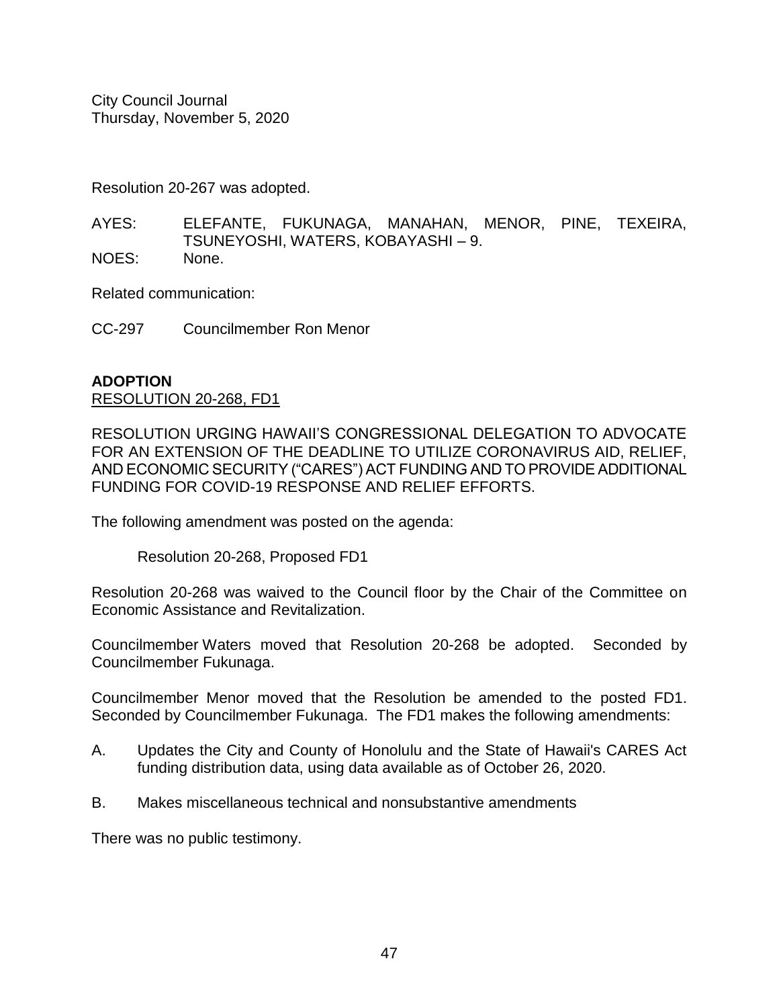Resolution 20-267 was adopted.

AYES: ELEFANTE, FUKUNAGA, MANAHAN, MENOR, PINE, TEXEIRA, TSUNEYOSHI, WATERS, KOBAYASHI – 9. NOES: None.

Related communication:

CC-297 Councilmember Ron Menor

# **ADOPTION**

RESOLUTION 20-268, FD1

RESOLUTION URGING HAWAII'S CONGRESSIONAL DELEGATION TO ADVOCATE FOR AN EXTENSION OF THE DEADLINE TO UTILIZE CORONAVIRUS AID, RELIEF, AND ECONOMIC SECURITY ("CARES") ACT FUNDING AND TO PROVIDE ADDITIONAL FUNDING FOR COVID-19 RESPONSE AND RELIEF EFFORTS.

The following amendment was posted on the agenda:

Resolution 20-268, Proposed FD1

Resolution 20-268 was waived to the Council floor by the Chair of the Committee on Economic Assistance and Revitalization.

Councilmember Waters moved that Resolution 20-268 be adopted. Seconded by Councilmember Fukunaga.

Councilmember Menor moved that the Resolution be amended to the posted FD1. Seconded by Councilmember Fukunaga. The FD1 makes the following amendments:

- A. Updates the City and County of Honolulu and the State of Hawaii's CARES Act funding distribution data, using data available as of October 26, 2020.
- B. Makes miscellaneous technical and nonsubstantive amendments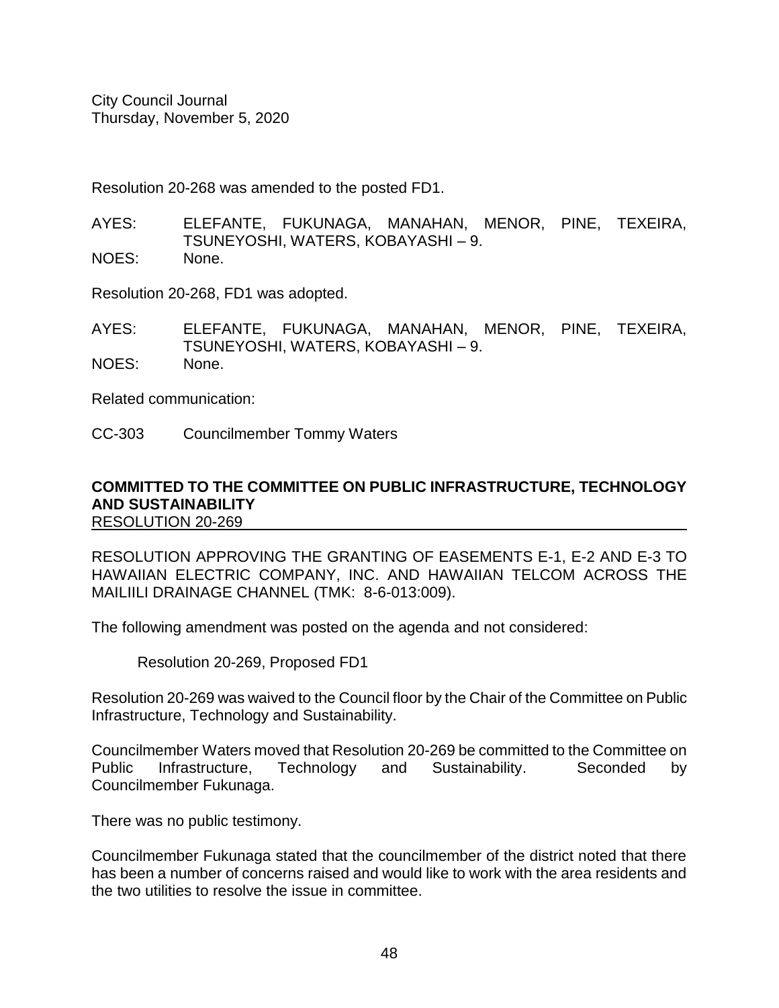Resolution 20-268 was amended to the posted FD1.

- AYES: ELEFANTE, FUKUNAGA, MANAHAN, MENOR, PINE, TEXEIRA, TSUNEYOSHI, WATERS, KOBAYASHI – 9. NOES: None.
- 

Resolution 20-268, FD1 was adopted.

AYES: ELEFANTE, FUKUNAGA, MANAHAN, MENOR, PINE, TEXEIRA, TSUNEYOSHI, WATERS, KOBAYASHI – 9. NOES: None.

Related communication:

CC-303 Councilmember Tommy Waters

#### **COMMITTED TO THE COMMITTEE ON PUBLIC INFRASTRUCTURE, TECHNOLOGY AND SUSTAINABILITY** RESOLUTION 20-269

RESOLUTION APPROVING THE GRANTING OF EASEMENTS E-1, E-2 AND E-3 TO HAWAIIAN ELECTRIC COMPANY, INC. AND HAWAIIAN TELCOM ACROSS THE MAILIILI DRAINAGE CHANNEL (TMK: 8-6-013:009).

The following amendment was posted on the agenda and not considered:

Resolution 20-269, Proposed FD1

Resolution 20-269 was waived to the Council floor by the Chair of the Committee on Public Infrastructure, Technology and Sustainability.

Councilmember Waters moved that Resolution 20-269 be committed to the Committee on Public Infrastructure, Technology and Sustainability. Seconded by Councilmember Fukunaga.

There was no public testimony.

Councilmember Fukunaga stated that the councilmember of the district noted that there has been a number of concerns raised and would like to work with the area residents and the two utilities to resolve the issue in committee.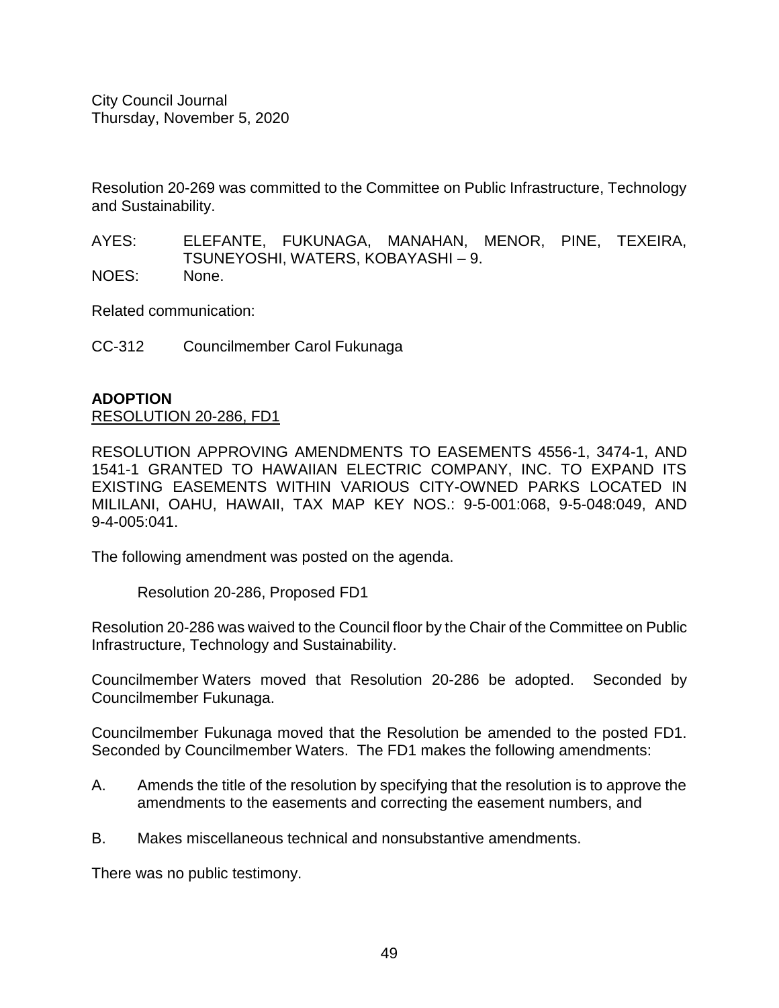Resolution 20-269 was committed to the Committee on Public Infrastructure, Technology and Sustainability.

AYES: ELEFANTE, FUKUNAGA, MANAHAN, MENOR, PINE, TEXEIRA, TSUNEYOSHI, WATERS, KOBAYASHI – 9. NOES: None.

Related communication:

CC-312 Councilmember Carol Fukunaga

# **ADOPTION**

# RESOLUTION 20-286, FD1

RESOLUTION APPROVING AMENDMENTS TO EASEMENTS 4556-1, 3474-1, AND 1541-1 GRANTED TO HAWAIIAN ELECTRIC COMPANY, INC. TO EXPAND ITS EXISTING EASEMENTS WITHIN VARIOUS CITY-OWNED PARKS LOCATED IN MILILANI, OAHU, HAWAII, TAX MAP KEY NOS.: 9-5-001:068, 9-5-048:049, AND 9-4-005:041.

The following amendment was posted on the agenda.

Resolution 20-286, Proposed FD1

Resolution 20-286 was waived to the Council floor by the Chair of the Committee on Public Infrastructure, Technology and Sustainability.

Councilmember Waters moved that Resolution 20-286 be adopted. Seconded by Councilmember Fukunaga.

Councilmember Fukunaga moved that the Resolution be amended to the posted FD1. Seconded by Councilmember Waters. The FD1 makes the following amendments:

- A. Amends the title of the resolution by specifying that the resolution is to approve the amendments to the easements and correcting the easement numbers, and
- B. Makes miscellaneous technical and nonsubstantive amendments.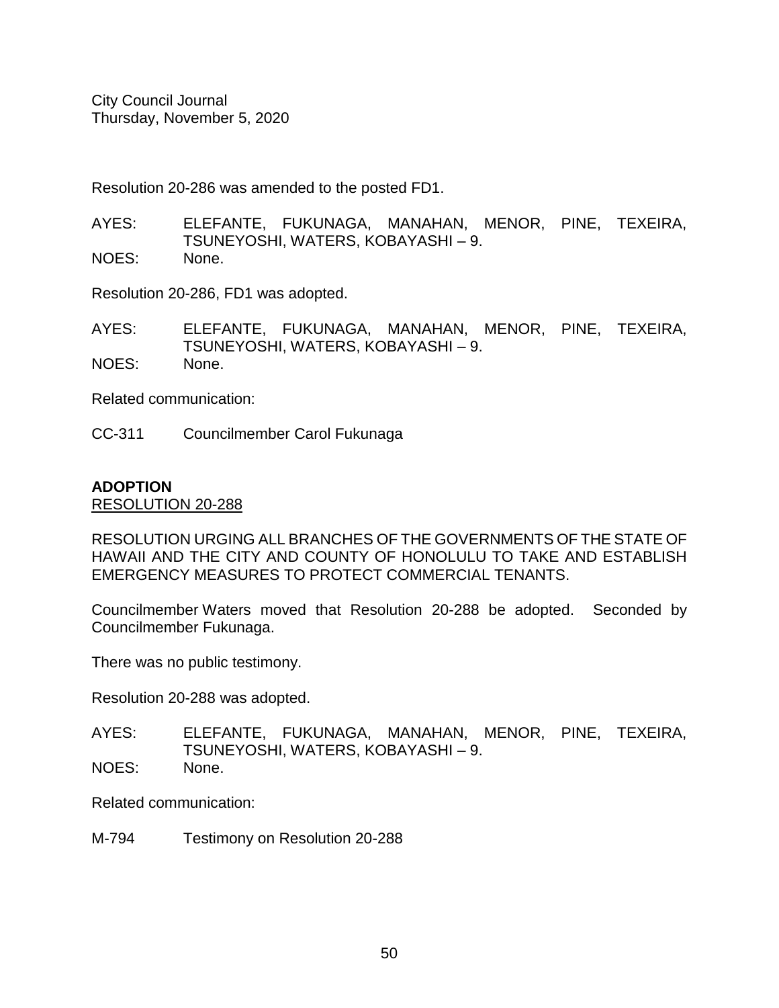Resolution 20-286 was amended to the posted FD1.

- AYES: ELEFANTE, FUKUNAGA, MANAHAN, MENOR, PINE, TEXEIRA, TSUNEYOSHI, WATERS, KOBAYASHI – 9. NOES: None.
- 

Resolution 20-286, FD1 was adopted.

AYES: ELEFANTE, FUKUNAGA, MANAHAN, MENOR, PINE, TEXEIRA, TSUNEYOSHI, WATERS, KOBAYASHI – 9. NOES: None.

Related communication:

CC-311 Councilmember Carol Fukunaga

#### **ADOPTION**

RESOLUTION 20-288

RESOLUTION URGING ALL BRANCHES OF THE GOVERNMENTS OF THE STATE OF HAWAII AND THE CITY AND COUNTY OF HONOLULU TO TAKE AND ESTABLISH EMERGENCY MEASURES TO PROTECT COMMERCIAL TENANTS.

Councilmember Waters moved that Resolution 20-288 be adopted. Seconded by Councilmember Fukunaga.

There was no public testimony.

Resolution 20-288 was adopted.

AYES: ELEFANTE, FUKUNAGA, MANAHAN, MENOR, PINE, TEXEIRA, TSUNEYOSHI, WATERS, KOBAYASHI – 9. NOES: None.

Related communication:

M-794 Testimony on Resolution 20-288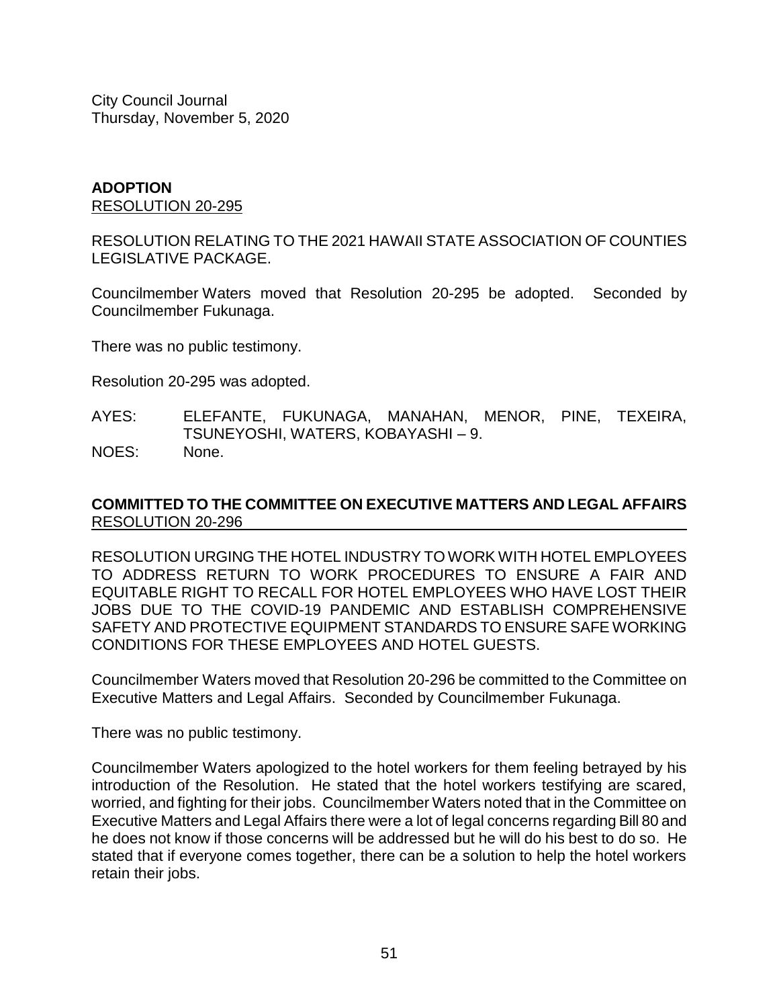#### **ADOPTION** RESOLUTION 20-295

RESOLUTION RELATING TO THE 2021 HAWAII STATE ASSOCIATION OF COUNTIES LEGISLATIVE PACKAGE.

Councilmember Waters moved that Resolution 20-295 be adopted. Seconded by Councilmember Fukunaga.

There was no public testimony.

Resolution 20-295 was adopted.

AYES: ELEFANTE, FUKUNAGA, MANAHAN, MENOR, PINE, TEXEIRA, TSUNEYOSHI, WATERS, KOBAYASHI – 9. NOES: None.

# **COMMITTED TO THE COMMITTEE ON EXECUTIVE MATTERS AND LEGAL AFFAIRS** RESOLUTION 20-296

RESOLUTION URGING THE HOTEL INDUSTRY TO WORK WITH HOTEL EMPLOYEES TO ADDRESS RETURN TO WORK PROCEDURES TO ENSURE A FAIR AND EQUITABLE RIGHT TO RECALL FOR HOTEL EMPLOYEES WHO HAVE LOST THEIR JOBS DUE TO THE COVID-19 PANDEMIC AND ESTABLISH COMPREHENSIVE SAFETY AND PROTECTIVE EQUIPMENT STANDARDS TO ENSURE SAFE WORKING CONDITIONS FOR THESE EMPLOYEES AND HOTEL GUESTS.

Councilmember Waters moved that Resolution 20-296 be committed to the Committee on Executive Matters and Legal Affairs. Seconded by Councilmember Fukunaga.

There was no public testimony.

Councilmember Waters apologized to the hotel workers for them feeling betrayed by his introduction of the Resolution. He stated that the hotel workers testifying are scared, worried, and fighting for their jobs. Councilmember Waters noted that in the Committee on Executive Matters and Legal Affairs there were a lot of legal concerns regarding Bill 80 and he does not know if those concerns will be addressed but he will do his best to do so. He stated that if everyone comes together, there can be a solution to help the hotel workers retain their jobs.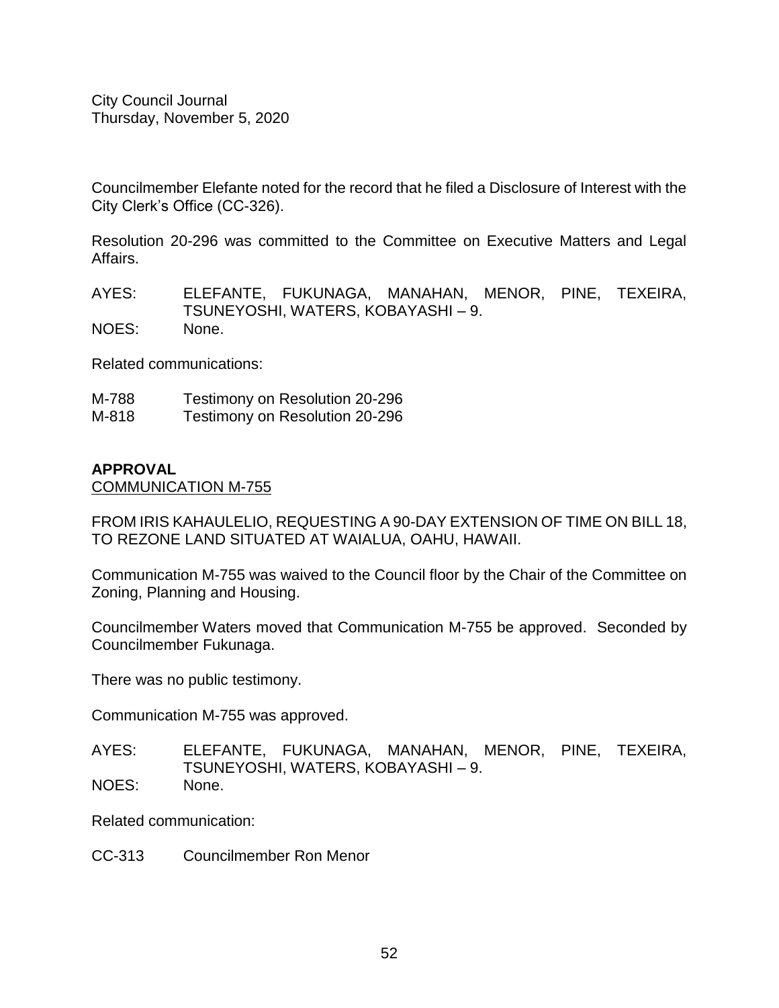Councilmember Elefante noted for the record that he filed a Disclosure of Interest with the City Clerk's Office (CC-326).

Resolution 20-296 was committed to the Committee on Executive Matters and Legal Affairs.

AYES: ELEFANTE, FUKUNAGA, MANAHAN, MENOR, PINE, TEXEIRA, TSUNEYOSHI, WATERS, KOBAYASHI – 9. NOES: None.

Related communications:

M-788 Testimony on Resolution 20-296 M-818 Testimony on Resolution 20-296

#### **APPROVAL**

COMMUNICATION M-755

FROM IRIS KAHAULELIO, REQUESTING A 90-DAY EXTENSION OF TIME ON BILL 18, TO REZONE LAND SITUATED AT WAIALUA, OAHU, HAWAII.

Communication M-755 was waived to the Council floor by the Chair of the Committee on Zoning, Planning and Housing.

Councilmember Waters moved that Communication M-755 be approved. Seconded by Councilmember Fukunaga.

There was no public testimony.

Communication M-755 was approved.

- AYES: ELEFANTE, FUKUNAGA, MANAHAN, MENOR, PINE, TEXEIRA, TSUNEYOSHI, WATERS, KOBAYASHI – 9. NOES: None.
- 

Related communication:

CC-313 Councilmember Ron Menor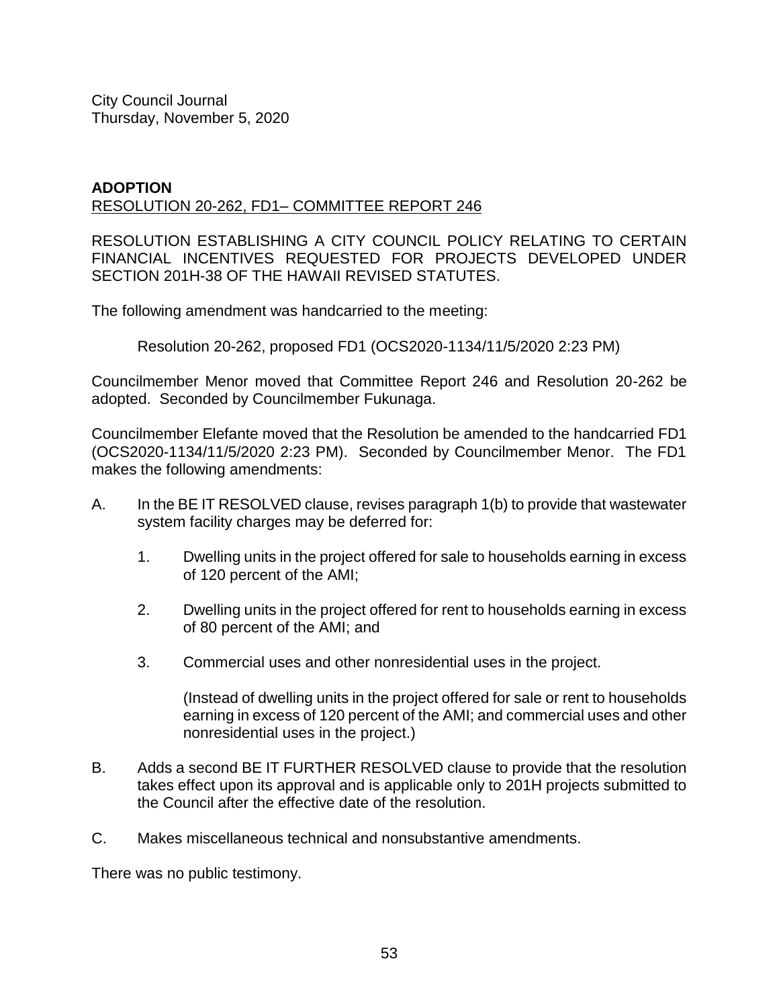#### **ADOPTION** RESOLUTION 20-262, FD1– COMMITTEE REPORT 246

RESOLUTION ESTABLISHING A CITY COUNCIL POLICY RELATING TO CERTAIN FINANCIAL INCENTIVES REQUESTED FOR PROJECTS DEVELOPED UNDER SECTION 201H-38 OF THE HAWAII REVISED STATUTES.

The following amendment was handcarried to the meeting:

Resolution 20-262, proposed FD1 (OCS2020-1134/11/5/2020 2:23 PM)

Councilmember Menor moved that Committee Report 246 and Resolution 20-262 be adopted. Seconded by Councilmember Fukunaga.

Councilmember Elefante moved that the Resolution be amended to the handcarried FD1 (OCS2020-1134/11/5/2020 2:23 PM). Seconded by Councilmember Menor. The FD1 makes the following amendments:

- A. In the BE IT RESOLVED clause, revises paragraph 1(b) to provide that wastewater system facility charges may be deferred for:
	- 1. Dwelling units in the project offered for sale to households earning in excess of 120 percent of the AMI;
	- 2. Dwelling units in the project offered for rent to households earning in excess of 80 percent of the AMI; and
	- 3. Commercial uses and other nonresidential uses in the project.

(Instead of dwelling units in the project offered for sale or rent to households earning in excess of 120 percent of the AMI; and commercial uses and other nonresidential uses in the project.)

- B. Adds a second BE IT FURTHER RESOLVED clause to provide that the resolution takes effect upon its approval and is applicable only to 201H projects submitted to the Council after the effective date of the resolution.
- C. Makes miscellaneous technical and nonsubstantive amendments.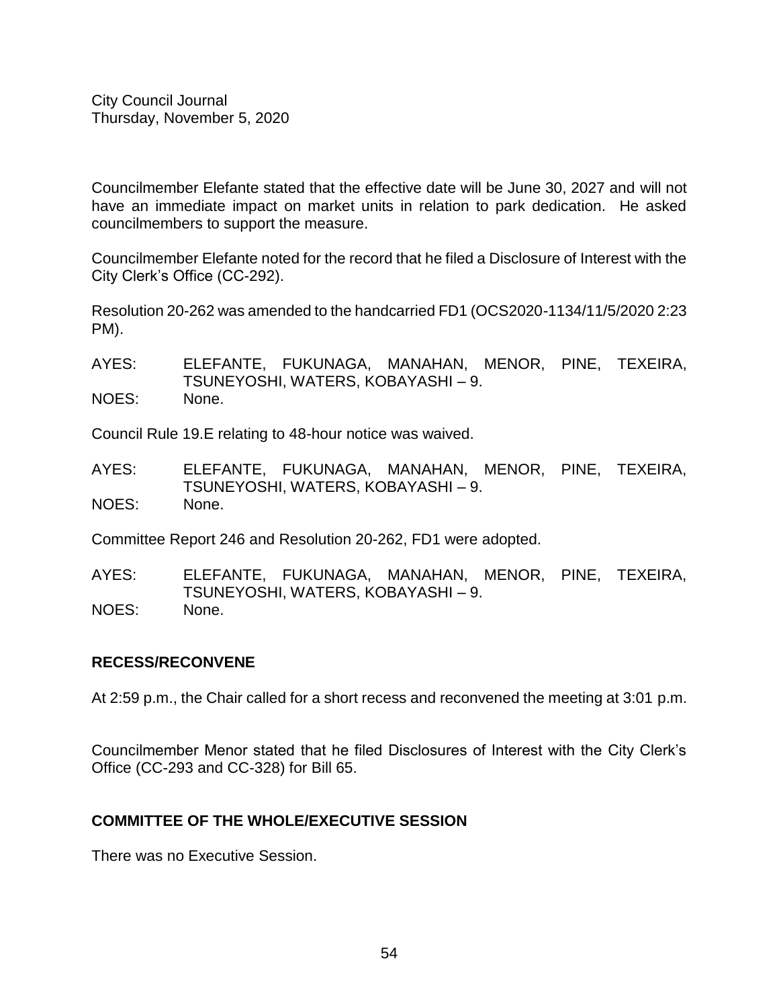Councilmember Elefante stated that the effective date will be June 30, 2027 and will not have an immediate impact on market units in relation to park dedication. He asked councilmembers to support the measure.

Councilmember Elefante noted for the record that he filed a Disclosure of Interest with the City Clerk's Office (CC-292).

Resolution 20-262 was amended to the handcarried FD1 (OCS2020-1134/11/5/2020 2:23 PM).

AYES: ELEFANTE, FUKUNAGA, MANAHAN, MENOR, PINE, TEXEIRA, TSUNEYOSHI, WATERS, KOBAYASHI – 9. NOES: None.

Council Rule 19.E relating to 48-hour notice was waived.

AYES: ELEFANTE, FUKUNAGA, MANAHAN, MENOR, PINE, TEXEIRA, TSUNEYOSHI, WATERS, KOBAYASHI – 9. NOES: None.

Committee Report 246 and Resolution 20-262, FD1 were adopted.

AYES: ELEFANTE, FUKUNAGA, MANAHAN, MENOR, PINE, TEXEIRA, TSUNEYOSHI, WATERS, KOBAYASHI – 9. NOES: None.

# **RECESS/RECONVENE**

At 2:59 p.m., the Chair called for a short recess and reconvened the meeting at 3:01 p.m.

Councilmember Menor stated that he filed Disclosures of Interest with the City Clerk's Office (CC-293 and CC-328) for Bill 65.

# **COMMITTEE OF THE WHOLE/EXECUTIVE SESSION**

There was no Executive Session.